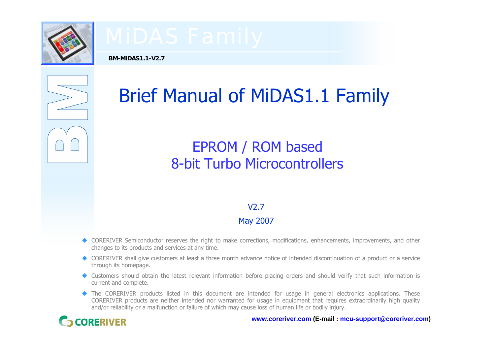

**BM-MiDAS1.1-V2.7**



# Brief Manual of MiDAS1.1 Family

# EPROM / ROM based 8-bit Turbo Microcontrollers

### V2.7

### May 2007

- CORERIVER Semiconductor reserves the right to make corrections, modifications, enhancements, improvements, and other changes to its products and services at any time.
- ◆ CORERIVER shall give customers at least a three month advance notice of intended discontinuation of a product or a service through its homepage.
- Customers should obtain the latest relevant information before placing orders and should verify that such information is current and complete.
- The CORERIVER products listed in this document are intended for usage in general electronics applications. These CORERIVER products are neither intended nor warranted for usage in equipment that requires extraordinarily high quality and/or reliability or a malfunction or failure of which may cause loss of human life or bodily injury.



**www.coreriver.com (E-mail : mcu-support@coreriver.com)**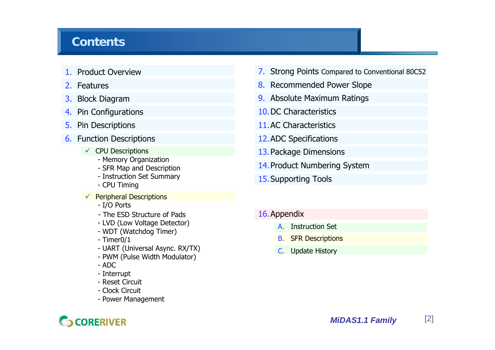## **Contents**

- 1. Product Overview
- 2. Features
- 3. Block Diagram
- 4. Pin Configurations
- 5. Pin Descriptions
- 6. Function Descriptions
	- $\checkmark$  CPU Descriptions
		- Memory Organization
		- SFR Map and Description
		- Instruction Set Summary
		- CPU Timing
	- $\checkmark$  Peripheral Descriptions
		- I/O Ports
		- The ESD Structure of Pads
		- LVD (Low Voltage Detector)
		- WDT (Watchdog Timer)
		- Timer0/1
		- UART (Universal Async. RX/TX)
		- PWM (Pulse Width Modulator)
		- ADC
		- Interrupt
		- Reset Circuit
		- Clock Circuit
		- Power Management
- 7. Strong Points Compared to Conventional 80C52
- <mark>8.</mark> Recommended Power Slope
- 9. Absolute Maximum Ratings
- 10.DC Characteristics
- 11.AC Characteristics
- 12.ADC Specifications
- 13.Package Dimensions
- 14.Product Numbering System
- 15.Supporting Tools
- 16.Appendix
	- A. Instruction Set
	- B.**SFR Descriptions**
	- C. Update History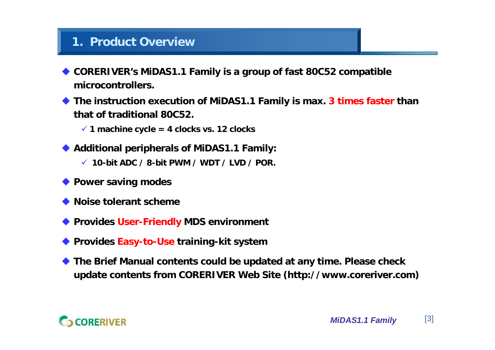## **1. Product Overview**

- ♦ **CORERIVER's MiDAS1.1 Family is a group of fast 80C52 compatible microcontrollers.**
- ♦ **The instruction execution of MiDAS1.1 Family is max. 3 times faster than that of traditional 80C52.**
	- 9 **1 machine cycle = 4 clocks vs. 12 clocks**
- **Additional peripherals of MiDAS1.1 Family:**
	- 9 **10-bit ADC / 8-bit PWM / WDT / LVD / POR.**
- **Power saving modes**
- ♦ **Noise tolerant scheme**
- **Provides User-Friendly MDS environment**
- **Provides Easy-to-Use training-kit system**
- ♦ **The Brief Manual contents could be updated at any time. Please check update contents from CORERIVER Web Site (http://www.coreriver.com)**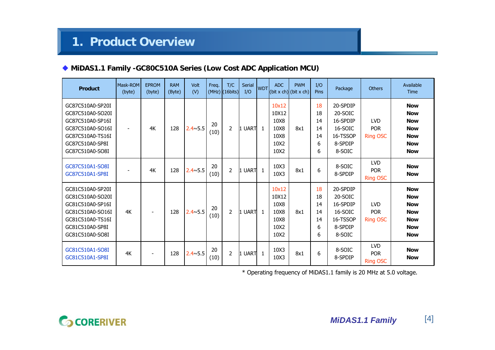### **MiDAS1.1 Family -GC80C510A Series (Low Cost ADC Application MCU)**

| <b>Product</b>                                                                                                                         | Mask-ROM<br>(byte) | <b>EPROM</b><br>(byte)   | <b>RAM</b><br>(Byte) | Volt<br>(V)      | Freq.      | T/C<br>$(MHz)$ $(16bits)$ | Serial<br>I/O | <b>WDT</b>   | <b>ADC</b>                                             | <b>PWM</b><br>$\left \left(\text{bit } x \text{ ch}\right)\right  \left(\text{bit } x \text{ ch}\right)\right $ | I/O<br>Pins                          | Package                                                                     | <b>Others</b>                               | Available<br>Time                                                                              |
|----------------------------------------------------------------------------------------------------------------------------------------|--------------------|--------------------------|----------------------|------------------|------------|---------------------------|---------------|--------------|--------------------------------------------------------|-----------------------------------------------------------------------------------------------------------------|--------------------------------------|-----------------------------------------------------------------------------|---------------------------------------------|------------------------------------------------------------------------------------------------|
| GC87C510A0-SP20I<br>GC87C510A0-SO20I<br>GC87C510A0-SP16I<br>GC87C510A0-SO16I<br>GC87C510A0-TS16I<br>GC87C510A0-SP8I<br>GC87C510A0-SO8I |                    | 4K                       | 128                  | $2.4 \times 5.5$ | 20<br>(10) | $\overline{2}$            | UART<br>I1    | $\mathbf{1}$ | 10x12<br>10X12<br>10X8<br>10X8<br>10X8<br>10X2<br>10X2 | 8x1                                                                                                             | 18<br>18<br>14<br>14<br>14<br>6<br>6 | 20-SPDIP<br>20-SOIC<br>16-SPDIP<br>16-SOIC<br>16-TSSOP<br>8-SPDIP<br>8-SOIC | <b>LVD</b><br><b>POR</b><br><b>Ring OSC</b> | <b>Now</b><br><b>Now</b><br><b>Now</b><br><b>Now</b><br><b>Now</b><br><b>Now</b><br><b>Now</b> |
| GC87C510A1-SO8I<br>GC87C510A1-SP8I                                                                                                     |                    | 4K                       | 128                  | $2.4 \times 5.5$ | 20<br>(10) | $\overline{2}$            | 1 UART        | $\mathbf{1}$ | 10X3<br>10X3                                           | 8x1                                                                                                             | 6                                    | 8-SOIC<br>8-SPDIP                                                           | <b>LVD</b><br><b>POR</b><br><b>Ring OSC</b> | <b>Now</b><br><b>Now</b>                                                                       |
| GC81C510A0-SP20I<br>GC81C510A0-SO20I<br>GC81C510A0-SP16I<br>GC81C510A0-SO16I<br>GC81C510A0-TS16I<br>GC81C510A0-SP8I<br>GC81C510A0-SO8I | 4K                 | $\overline{\phantom{a}}$ | 128                  | $2.4 \times 5.5$ | 20<br>(10) | 2                         | 1 UART        | $\mathbf{1}$ | 10x12<br>10X12<br>10X8<br>10X8<br>10X8<br>10X2<br>10X2 | 8x1                                                                                                             | 18<br>18<br>14<br>14<br>14<br>6<br>6 | 20-SPDIP<br>20-SOIC<br>16-SPDIP<br>16-SOIC<br>16-TSSOP<br>8-SPDIP<br>8-SOIC | <b>LVD</b><br><b>POR</b><br><b>Ring OSC</b> | <b>Now</b><br><b>Now</b><br><b>Now</b><br><b>Now</b><br><b>Now</b><br><b>Now</b><br><b>Now</b> |
| GC81C510A1-SO8I<br>GC81C510A1-SP8I                                                                                                     | 4K                 |                          | 128                  | $2.4 \times 5.5$ | 20<br>(10) | $\overline{2}$            | 1 UART        | $\mathbf{1}$ | 10X3<br>10X3                                           | 8x1                                                                                                             | 6                                    | 8-SOIC<br>8-SPDIP                                                           | <b>LVD</b><br><b>POR</b><br><b>Ring OSC</b> | <b>Now</b><br><b>Now</b>                                                                       |

\* Operating frequency of MiDAS1.1 family is 20 MHz at 5.0 voltage.

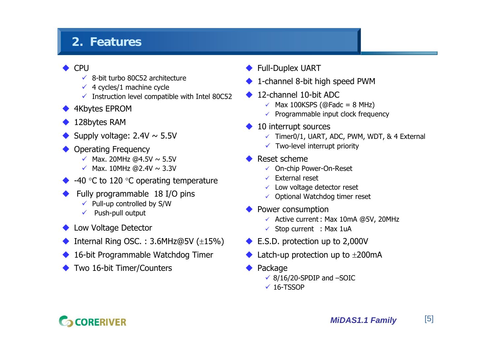# **2. Features**

### ♦ CPU

- $\checkmark$  8-bit turbo 80C52 architecture
- $\checkmark$  4 cycles/1 machine cycle
- $\checkmark$  Instruction level compatible with Intel 80C52
- ◆ 4Kbytes EPROM
- ♦ 128bytes RAM
- ♦ Supply voltage:  $2.4V \sim 5.5V$
- ♦ Operating Frequency
	- $\checkmark$  Max. 20MHz @4.5V  $\sim$  5.5V
	- $\checkmark$  Max. 10MHz @2.4V  $\sim$  3.3V
- $\blacklozenge$  -40 °C to 120 °C operating temperature
- ♦ Fully programmable 18 I/O pins
	- $\checkmark$  Pull-up controlled by S/W
	- $\checkmark$  Push-pull output
- ◆ Low Voltage Detector
- ♦ Internal Ring OSC. : 3.6MHz@5V (±15%)
- ♦ 16-bit Programmable Watchdog Timer
- ♦ Two 16-bit Timer/Counters
- ♦ Full-Duplex UART
- ♦ 1-channel 8-bit high speed PWM
- ♦ 12-channel 10-bit ADC
	- $\checkmark$  Max 100KSPS (@Fadc = 8 MHz)
	- $\checkmark$  Programmable input clock frequency
- ♦ 10 interrupt sources
	- $\checkmark$  Timer0/1, UART, ADC, PWM, WDT, & 4 External
	- $\checkmark$  Two-level interrupt priority
- ♦ Reset scheme
	- ✓ On-chip Power-On-Reset
	- $\checkmark$  External reset
	- $\checkmark$  Low voltage detector reset
	- $\checkmark$  Optional Watchdog timer reset
- ♦ Power consumption
	- $\checkmark$  Active current : Max 10mA @5V, 20MHz
	- $\checkmark$  Stop current : Max 1uA
- ◆ E.S.D. protection up to 2,000V
- ♦ Latch-up protection up to  $\pm 200$  mA
- ♦ Package
	- $\checkmark$  8/16/20-SPDIP and  $-$ SOIC
	- $\times$  16-TSSOP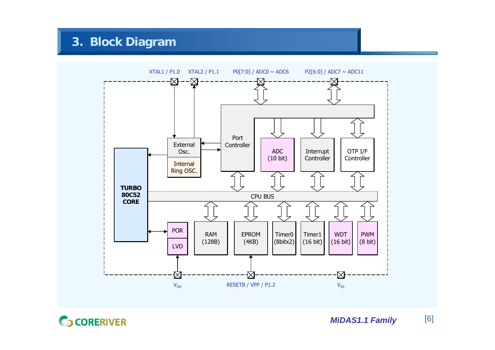**3. Block Diagram**



**G** CORERIVER

*MiDAS1.1 Family* [6]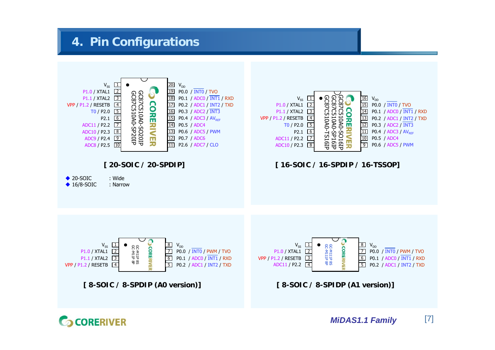# **4. Pin Configurations**

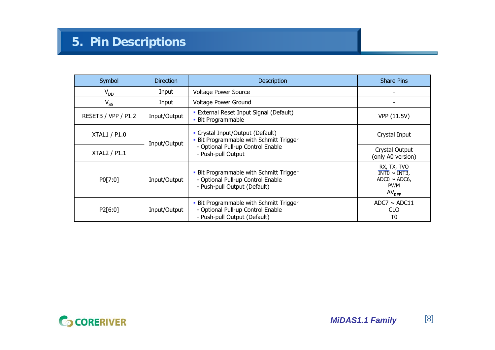| Symbol              | <b>Direction</b> | <b>Description</b>                                                                                           | <b>Share Pins</b>                                                                        |
|---------------------|------------------|--------------------------------------------------------------------------------------------------------------|------------------------------------------------------------------------------------------|
| $V_{DD}$            | Input            | <b>Voltage Power Source</b>                                                                                  |                                                                                          |
| $V_{SS}$            | Input            | Voltage Power Ground                                                                                         |                                                                                          |
| RESETB / VPP / P1.2 | Input/Output     | • External Reset Input Signal (Default)<br>• Bit Programmable                                                | VPP (11.5V)                                                                              |
| <b>XTAL1 / P1.0</b> | Input/Output     | • Crystal Input/Output (Default)<br>• Bit Programmable with Schmitt Trigger                                  | Crystal Input                                                                            |
| <b>XTAL2 / P1.1</b> |                  | - Optional Pull-up Control Enable<br>- Push-pull Output                                                      | Crystal Output<br>(only A0 version)                                                      |
| PO[7:0]             | Input/Output     | • Bit Programmable with Schmitt Trigger<br>- Optional Pull-up Control Enable<br>- Push-pull Output (Default) | RX, TX, TVO<br>$INT0 \sim INT3$<br>$ADC0 \sim ADC6$ ,<br><b>PWM</b><br>AV <sub>REF</sub> |
| P2[6:0]             | Input/Output     | • Bit Programmable with Schmitt Trigger<br>- Optional Pull-up Control Enable<br>- Push-pull Output (Default) | ADC7 $\sim$ ADC11<br><b>CLO</b><br>T0                                                    |

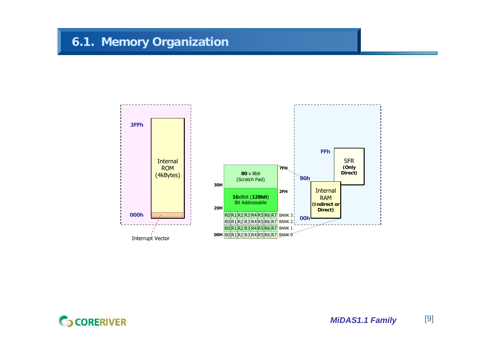# **6.1. Memory Organization**

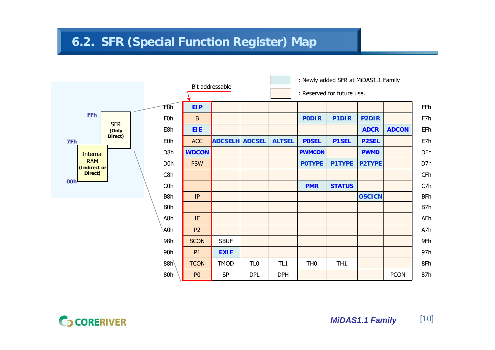# **6.2. SFR (Special Function Register) Map**



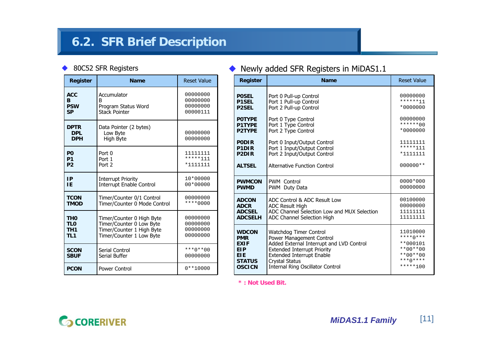# **6.2. SFR Brief Description**

### ◆ 80C52 SFR Registers

| <b>Register</b>                         | <b>Name</b>                                     | <b>Reset Value</b>      | <b>Register</b>                                   |
|-----------------------------------------|-------------------------------------------------|-------------------------|---------------------------------------------------|
| <b>ACC</b>                              | Accumulator                                     | 00000000                | <b>POSEL</b>                                      |
| R                                       | в                                               | 00000000                | <b>P1SEL</b>                                      |
| <b>PSW</b>                              | Program Status Word                             | 00000000                | <b>P2SEL</b>                                      |
| <b>SP</b>                               | <b>Stack Pointer</b>                            | 00000111                | <b>POTYPE</b>                                     |
| <b>DPTR</b><br><b>DPL</b><br><b>DPH</b> | Data Pointer (2 bytes)<br>Low Byte<br>High Byte | 00000000<br>00000000    | <b>P1TYPE</b><br><b>P2TYPE</b><br><b>PODIR</b>    |
| P <sub>0</sub>                          | Port 0                                          | 11111111                | P <sub>1</sub> D <sub>IR</sub>                    |
| P <sub>1</sub>                          | Port 1                                          | *****111                | P <sub>2</sub> D <sub>IR</sub>                    |
| P <sub>2</sub>                          | Port 2                                          | *1111111                | <b>ALTSEL</b>                                     |
| IP                                      | <b>Interrupt Priority</b>                       | 10*00000                | <b>PWMCON</b>                                     |
| ΙE                                      | Interrupt Enable Control                        | $00*00000$              | <b>PWMD</b>                                       |
| <b>TCON</b>                             | Timer/Counter 0/1 Control                       | 00000000                | <b>ADCON</b>                                      |
| <b>TMOD</b>                             | Timer/Counter 0 Mode Control                    | $***0000$               | <b>ADCR</b>                                       |
| TH <sub>0</sub>                         | Timer/Counter 0 High Byte                       | 00000000                | <b>ADCSEL</b>                                     |
| <b>TLO</b>                              | Timer/Counter 0 Low Byte                        | 00000000                | <b>ADCSELH</b>                                    |
| TH <sub>1</sub>                         | Timer/Counter 1 High Byte                       | 00000000                | <b>WDCON</b>                                      |
| TL <sub>1</sub>                         | Timer/Counter 1 Low Byte                        | 00000000                | <b>PMR</b>                                        |
| <b>SCON</b><br><b>SBUF</b>              | Serial Control<br>Serial Buffer                 | $***0***00$<br>00000000 | <b>EXIF</b><br><b>EIP</b><br>EIE<br><b>STATUS</b> |
| <b>PCON</b>                             | Power Control                                   | $0***10000$             | <b>OSCICN</b>                                     |

### ♦ Newly added SFR Registers in MiDAS1.1

| Register                       | <b>Name</b>                                 | <b>Reset Value</b> |
|--------------------------------|---------------------------------------------|--------------------|
| <b>POSEL</b>                   | Port 0 Pull-up Control                      | 00000000           |
| <b>P1SEL</b>                   | Port 1 Pull-up Control                      | ******11           |
| <b>P2SEL</b>                   | Port 2 Pull-up Control                      | *0000000           |
| <b>POTYPE</b>                  | Port 0 Type Control                         | 00000000           |
| <b>P1TYPE</b>                  | Port 1 Type Control                         | $******00$         |
| <b>P2TYPE</b>                  | Port 2 Type Control                         | *0000000           |
| <b>PODIR</b>                   | Port 0 Input/Output Control                 | 11111111           |
| P <sub>1</sub> D <sub>IR</sub> | Port 1 Input/Output Control                 | *****111           |
| P <sub>2</sub> D <sub>IR</sub> | Port 2 Input/Output Control                 | *1111111           |
| <b>ALTSEL</b>                  | Alternative Function Control                | $000000**$         |
| <b>PWMCON</b>                  | <b>PWM Control</b>                          | 0000*000           |
| <b>PWMD</b>                    | PWM Duty Data                               | 00000000           |
| <b>ADCON</b>                   | ADC Control & ADC Result Low                | 00100000           |
| <b>ADCR</b>                    | <b>ADC Result High</b>                      | 00000000           |
| <b>ADCSEL</b>                  | ADC Channel Selection Low and MUX Selection | 11111111           |
| <b>ADCSELH</b>                 | <b>ADC Channel Selection High</b>           | 11111111           |
| <b>WDCON</b>                   | Watchdog Timer Control                      | 11010000           |
| <b>PMR</b>                     | Power Management Control                    | $***()***$         |
| <b>EXIF</b>                    | Added External Interrupt and LVD Control    | **000101           |
| <b>EIP</b>                     | <b>Extended Interrupt Priority</b>          | $**00**00$         |
| EIE                            | <b>Extended Interrupt Enable</b>            | $***00***00$       |
| <b>STATUS</b>                  | Crystal Status                              | $***()***$         |
| <b>OSCICN</b>                  | <b>Internal Ring Oscillator Control</b>     | $****100$          |

**\* : Not Used Bit.**

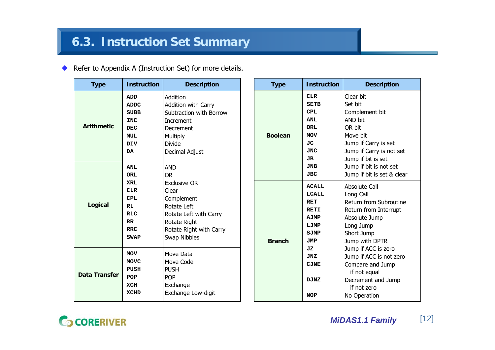### ◆ Refer to Appendix A (Instruction Set) for more details.

| <b>Type</b>          | <b>Instruction</b>                                                                                            | <b>Description</b>                                                                                                                             | <b>Type</b>    | <b>Instruction</b>                                                                                   | <b>Description</b>                                                                                                                                |
|----------------------|---------------------------------------------------------------------------------------------------------------|------------------------------------------------------------------------------------------------------------------------------------------------|----------------|------------------------------------------------------------------------------------------------------|---------------------------------------------------------------------------------------------------------------------------------------------------|
| <b>Arithmetic</b>    | <b>ADD</b><br><b>ADDC</b><br><b>SUBB</b><br><b>INC</b><br><b>DEC</b><br><b>MUL</b><br><b>DIV</b><br><b>DA</b> | Addition<br>Addition with Carry<br>Subtraction with Borrow<br>Increment<br>Decrement<br>Multiply<br><b>Divide</b><br>Decimal Adjust            | <b>Boolean</b> | <b>CLR</b><br><b>SETB</b><br><b>CPL</b><br><b>ANL</b><br>ORL<br><b>MOV</b><br>JC<br><b>JNC</b><br>JВ | Clear bit<br>Set bit<br>Complement bit<br>AND bit<br>OR bit<br>Move bit<br>Jump if Carry is set<br>Jump if Carry is not set<br>Jump if bit is set |
|                      | <b>ANL</b><br><b>ORL</b>                                                                                      | <b>AND</b><br><b>OR</b>                                                                                                                        |                | <b>JNB</b><br><b>JBC</b>                                                                             | Jump if bit is not set<br>Jump if bit is set & clear                                                                                              |
| Logical              | <b>XRL</b><br><b>CLR</b><br><b>CPL</b><br><b>RL</b><br><b>RLC</b><br>RR<br><b>RRC</b><br><b>SWAP</b>          | <b>Exclusive OR</b><br>Clear<br>Complement<br>Rotate Left<br>Rotate Left with Carry<br>Rotate Right<br>Rotate Right with Carry<br>Swap Nibbles | <b>Branch</b>  | <b>ACALL</b><br><b>LCALL</b><br><b>RET</b><br><b>RETI</b><br>AJMP<br>LJMP<br>SJMP<br><b>JMP</b>      | Absolute Call<br>Long Call<br>Return from Subroutine<br>Return from Interrupt<br>Absolute Jump<br>Long Jump<br>Short Jump<br>Jump with DPTR       |
| <b>Data Transfer</b> | <b>MOV</b><br>MOVC<br>PUSH<br>POP<br>XCH<br><b>XCHD</b>                                                       | Move Data<br>Move Code<br><b>PUSH</b><br><b>POP</b><br>Exchange<br>Exchange Low-digit                                                          |                | JZ<br>JNZ<br><b>CJNE</b><br><b>DJNZ</b><br><b>NOP</b>                                                | Jump if ACC is zero<br>Jump if ACC is not zero<br>Compare and Jump<br>if not equal<br>Decrement and Jump<br>if not zero<br>No Operation           |

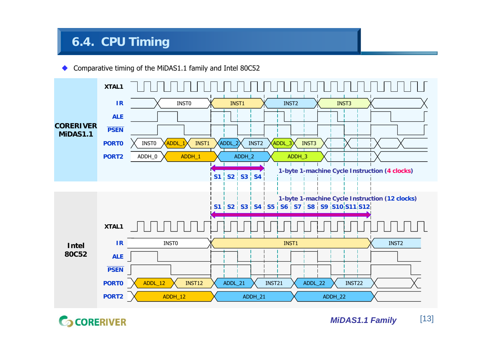# **6.4. CPU Timing**

◆ Comparative timing of the MiDAS1.1 family and Intel 80C52

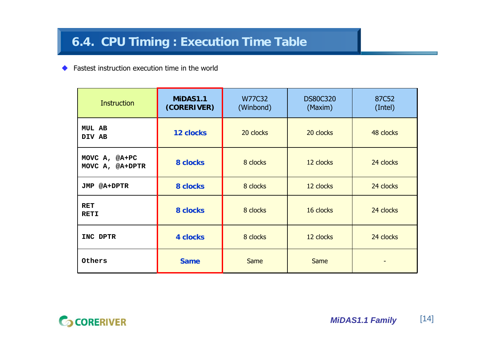◆ Fastest instruction execution time in the world

| <b>Instruction</b>               | MIDAS1.1<br>(CORERIVER) | W77C32<br>(Winbond) | <b>DS80C320</b><br>(Maxim) | 87C52<br>(Intel) |
|----------------------------------|-------------------------|---------------------|----------------------------|------------------|
| <b>MUL AB</b><br>DIV AB          | <b>12 clocks</b>        | 20 clocks           | 20 clocks                  | 48 clocks        |
| MOVC A, @A+PC<br>MOVC A, @A+DPTR | 8 clocks                | 8 clocks            | 12 clocks                  | 24 clocks        |
| <b>JMP @A+DPTR</b>               | 8 clocks                | 8 clocks            | 12 clocks                  | 24 clocks        |
| RET<br><b>RETI</b>               | 8 clocks                | 8 clocks            | 16 clocks                  | 24 clocks        |
| INC DPTR                         | <b>4 clocks</b>         | 8 clocks            | 12 clocks                  | 24 clocks        |
| Others                           | <b>Same</b>             | <b>Same</b>         | Same                       |                  |

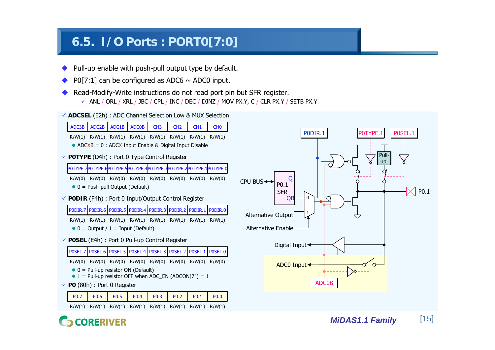# **6.5. I/O Ports : PORT0[7:0]**

- ◆ Pull-up enable with push-pull output type by default.
- ♦ P0[7:1] can be configured as ADC6  $\sim$  ADC0 input.
- ◆ Read-Modify-Write instructions do not read port pin but SFR register. 9 ANL / ORL / XRL / JBC / CPL / INC / DEC / DJNZ / MOV PX.Y, C / CLR PX.Y / SETB PX.Y
- 9 **ADCSEL** (E2h) : ADC Channel Selection Low & MUX Selection



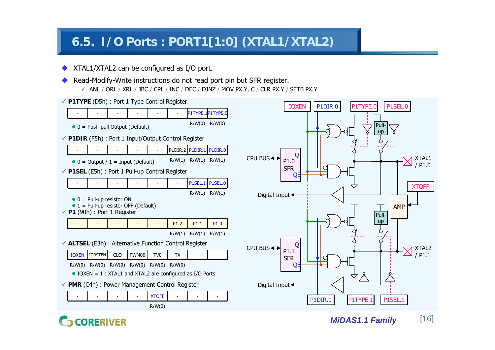# **6.5. I/O Ports : PORT1[1:0] (XTAL1/XTAL2)**

- ◆ XTAL1/XTAL2 can be configured as I/O port.
- ♦ Read-Modify-Write instructions do not read port pin but SFR register.
	- 9 ANL / ORL / XRL / JBC / CPL / INC / DEC / DJNZ / MOV PX.Y, C / CLR PX.Y / SETB PX.Y



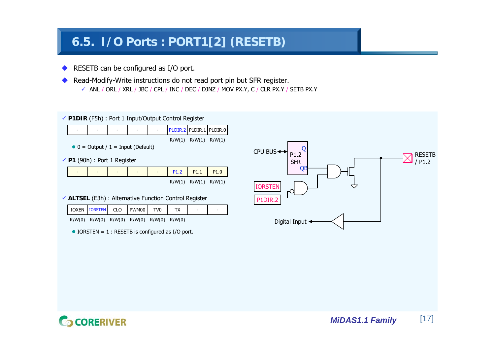# **6.5. I/O Ports : PORT1[2] (RESETB)**

- ◆ RESETB can be configured as I/O port.
- ♦ Read-Modify-Write instructions do not read port pin but SFR register.
	- 9 ANL / ORL / XRL / JBC / CPL / INC / DEC / DJNZ / MOV PX.Y, C / CLR PX.Y / SETB PX.Y

9 **P1DIR** (F5h) : Port 1 Input/Output Control Register



9 **P1** (90h) : Port 1 Register

| $\overline{\phantom{0}}$ | - | - | $\overline{\phantom{a}}$ | $\overline{\phantom{0}}$ | P1.2   | P <sub>1.1</sub> | P <sub>1.0</sub> |
|--------------------------|---|---|--------------------------|--------------------------|--------|------------------|------------------|
|                          |   |   |                          |                          | R/W(1) | R/W(1)           | R/W(1)           |

9 **ALTSEL** (E3h) : Alternative Function Control Register

| IOXEN IORSTEN CLO PWM00 TVO               |  |  | ۰ |  |
|-------------------------------------------|--|--|---|--|
| R/W(0) R/W(0) R/W(0) R/W(0) R/W(0) R/W(0) |  |  |   |  |

 $\bullet$  IORSTEN = 1 : RESETB is configured as I/O port.



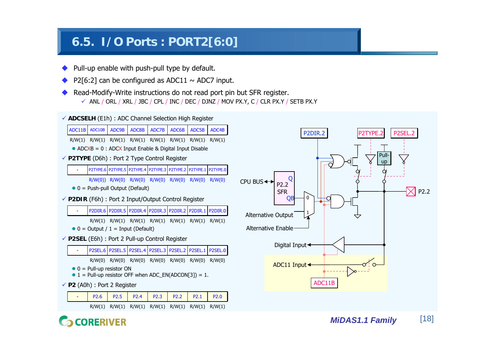# **6.5. I/O Ports : PORT2[6:0]**

- ◆ Pull-up enable with push-pull type by default.
- ♦ P2[6:2] can be configured as ADC11  $\sim$  ADC7 input.
- ◆ Read-Modify-Write instructions do not read port pin but SFR register. 9 ANL / ORL / XRL / JBC / CPL / INC / DEC / DJNZ / MOV PX.Y, C / CLR PX.Y / SETB PX.Y
- 9 **ADCSELH** (E1h) : ADC Channel Selection High Register



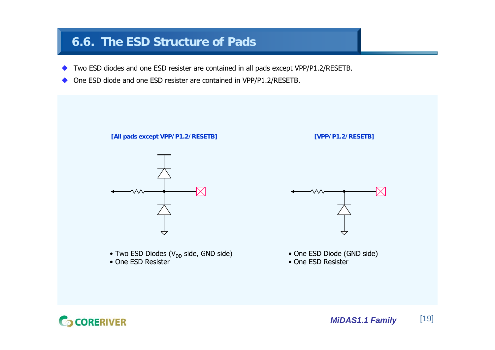# **6.6. The ESD Structure of Pads**

- ◆ Two ESD diodes and one ESD resister are contained in all pads except VPP/P1.2/RESETB.
- ♦  $\blacklozenge$  One ESD diode and one ESD resister are contained in VPP/P1.2/RESETB.



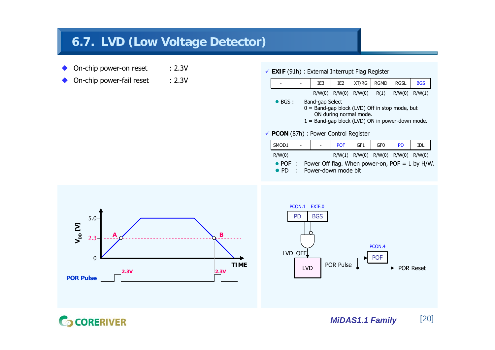# **6.7. LVD (Low Voltage Detector)**

- ◆ On-chip power-on reset : 2.3V
- ♦ On-chip power-fail reset : 2.3V

9 **EXIF** (91h) : External Interrupt Flag Register



- $\bullet$  POF  $\pm$ Power Off flag. When power-on,  $POF = 1$  by H/W.
- $\bullet$  PD : Power-down mode bit



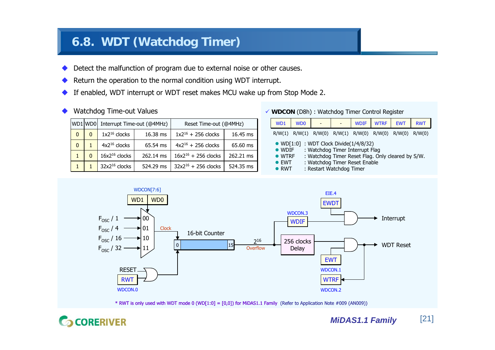# **6.8. WDT (Watchdog Timer)**

- ◆ Detect the malfunction of program due to external noise or other causes.
- ♦ Return the operation to the normal condition using WDT interrupt.
- ◆ If enabled, WDT interrupt or WDT reset makes MCU wake up from Stop Mode 2.
- ♦ Watchdog Time-out Values

|              |   | WD1 WD0 Interrupt Time-out (@4MHz) |           | Reset Time-out (@4MHz)   |           |  |
|--------------|---|------------------------------------|-----------|--------------------------|-----------|--|
| $\Omega$     | 0 | $1x2^{16}$ clocks                  | 16.38 ms  | $1x2^{16}$ + 256 clocks  | 16.45 ms  |  |
| $\mathbf{0}$ |   | $4x2^{16}$ clocks                  | 65.54 ms  | $4x2^{16} + 256$ clocks  | 65.60 ms  |  |
|              |   | $16x2^{16}$ clocks                 | 262.14 ms | $16x2^{16} + 256$ clocks | 262.21 ms |  |
|              |   | 32x2 <sup>16</sup> clocks          | 524.29 ms | $32x2^{16} + 256$ clocks | 524.35 ms |  |

9 **WDCON** (D8h) : Watchdog Timer Control Register

| WD <sub>1</sub>                                                    | W <sub>D</sub> <sub>0</sub>                                    |                          | <b>WDIF</b>                                                      | <b>WTRF</b>                                       | <b>EWT</b> | <b>RWT</b> |
|--------------------------------------------------------------------|----------------------------------------------------------------|--------------------------|------------------------------------------------------------------|---------------------------------------------------|------------|------------|
|                                                                    | $R/W(1)$ $R/W(1)$ $R/W(0)$ $R/W(1)$ $R/W(0)$ $R/W(0)$ $R/W(0)$ |                          |                                                                  |                                                   |            | R/W(0)     |
| $\bullet$ WDIF<br>$\bullet$ WTRF<br>$\bullet$ FWT<br>$\bullet$ RWT | $\bullet$ WD[1:0] : WDT Clock Divide(1/4/8/32)                 | : Restart Watchdog Timer | : Watchdog Timer Interrupt Flag<br>: Watchdog Timer Reset Enable | : Watchdog Timer Reset Flag. Only cleared by S/W. |            |            |



\* RWT is only used with WDT mode 0 (WD[1:0] = [0,0]) for MiDAS1.1 Family (Refer to Application Note #009 (AN009))

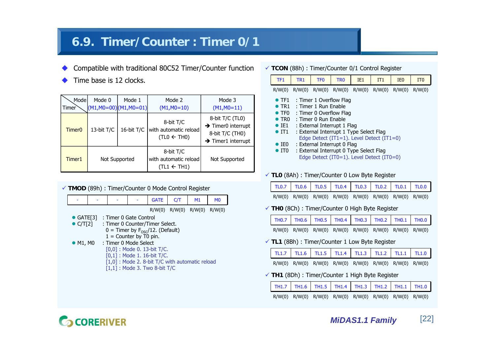# **6.9. Timer/Counter : Timer 0/1**

- ◆ Compatible with traditional 80C52 Timer/Counter function
- ♦ Time base is 12 clocks.

| Mode<br>Timer | Mode 0     | Mode 1<br>$(M1, MO=00)$ $(M1, MO=01)$ | Mode 2<br>$(M1, MO=10)$                                      | Mode 3<br>$(M1, MO=11)$                                                                                |
|---------------|------------|---------------------------------------|--------------------------------------------------------------|--------------------------------------------------------------------------------------------------------|
| Timer0        | 13-bit T/C | 16-bit T/C                            | 8-bit T/C<br>with automatic reload<br>$(TLO \leftarrow THO)$ | 8-bit T/C (TL0)<br>$\rightarrow$ Timer0 interrupt<br>8-bit T/C (TH0)<br>$\rightarrow$ Timer1 interrupt |
| Timer1        |            | Not Supported                         | 8-bit T/C<br>with automatic reload<br>(TL1 $\leftarrow$ TH1) | Not Supported                                                                                          |



9 **TCON** (88h) : Timer/Counter 0/1 Control Register

| TF <sub>1</sub>                                                                                                                             | TR <sub>1</sub> | TF <sub>0</sub>                                            | TR <sub>0</sub>                                                                                                  | TF <sub>1</sub>                                                                                                                                                              | IT1 | T <sub>F0</sub> | IT <sub>0</sub> |
|---------------------------------------------------------------------------------------------------------------------------------------------|-----------------|------------------------------------------------------------|------------------------------------------------------------------------------------------------------------------|------------------------------------------------------------------------------------------------------------------------------------------------------------------------------|-----|-----------------|-----------------|
| R/W(0)                                                                                                                                      |                 |                                                            |                                                                                                                  | $R/W(0)$ $R/W(0)$ $R/W(0)$ $R/W(0)$ $R/W(0)$ $R/W(0)$                                                                                                                        |     |                 | R/W(0)          |
| $\bullet$ TF1<br>$\bullet$ TF <sub>0</sub><br>$\bullet$ TR <sub>0</sub><br>$\bullet$ IE1<br>$\bullet$ IT1<br>$\bullet$ IEO<br>$\bullet$ ITO |                 | $\bullet$ TR1 : Timer 1 Run Enable<br>: Timer 0 Run Fnable | : Timer 1 Overflow Flag<br>: Timer 0 Overflow Flag<br>: External Interrupt 1 Flag<br>: External Interrupt 0 Flag | : External Interrupt 1 Type Select Flag<br>Edge Detect (IT1=1). Level Detect (IT1=0)<br>: External Interrupt 0 Type Select Flag<br>Edge Detect (IT0=1). Level Detect (IT0=0) |     |                 |                 |

9 **TL0** (8Ah) : Timer/Counter 0 Low Byte Register

| TLO.7   TLO.6   TLO.5   TLO.4   TLO.3   TLO.2   TLO.1   TLO.0 |  |  |  |
|---------------------------------------------------------------|--|--|--|
| R/W(0) R/W(0) R/W(0) R/W(0) R/W(0) R/W(0) R/W(0) R/W(0)       |  |  |  |

9 **TH0** (8Ch) : Timer/Counter 0 High Byte Register

| TH0.7 TH0.6 TH0.5 TH0.4 TH0.3 TH0.2 TH0.1 TH0.0         |  |  |  |
|---------------------------------------------------------|--|--|--|
| R/W(0) R/W(0) R/W(0) R/W(0) R/W(0) R/W(0) R/W(0) R/W(0) |  |  |  |

9 **TL1** (8Bh) : Timer/Counter 1 Low Byte Register

| TL1.7   TL1.6   TL1.5   TL1.4   TL1.3   TL1.2   TL1.1   TL1.0 |  |  |  |  |
|---------------------------------------------------------------|--|--|--|--|
| R/W(0) R/W(0) R/W(0) R/W(0) R/W(0) R/W(0) R/W(0) R/W(0)       |  |  |  |  |

9 **TH1** (8Dh) : Timer/Counter 1 High Byte Register

| $\boxed{\text{TH1.7}}$ TH1.6 TH1.5 TH1.4 TH1.3 TH1.2 TH1.1 TH1.0 |  |  |  |  |
|------------------------------------------------------------------|--|--|--|--|
| R/W(0) R/W(0) R/W(0) R/W(0) R/W(0) R/W(0) R/W(0) R/W(0)          |  |  |  |  |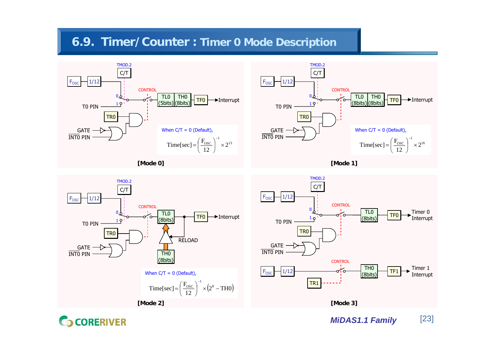# **6.9. Timer/Counter : Timer 0 Mode Description**





**[Mode 0]**





**CORERIVER** 

*MiDAS1.1 Family* [23]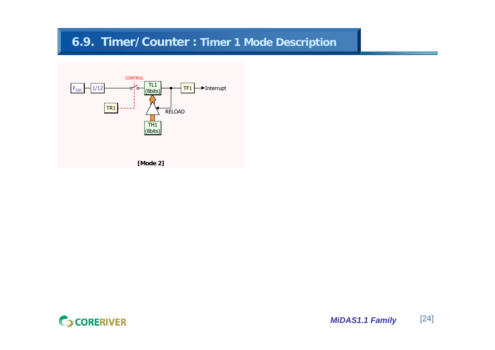# **6.9. Timer/Counter : Timer 1 Mode Description**



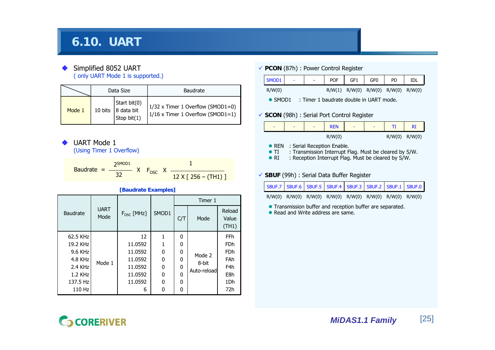# **6.10. UART**

### ◆ Simplified 8052 UART ( only UART Mode 1 is supported.)

|        |         | Data Size                                                                      | <b>Baudrate</b>                                                          |
|--------|---------|--------------------------------------------------------------------------------|--------------------------------------------------------------------------|
| Mode 1 | 10 bits | $\begin{cases} Start \; bit(0) \\ 8 \; data \; bit \end{cases}$<br>Stop bit(1) | 1/32 x Timer 1 Overflow (SMOD1=0)<br>$1/16$ x Timer 1 Overflow (SMOD1=1) |

♦ UART Mode 1

(Using Timer 1 Overflow)

Baudrate = 
$$
\frac{2^{SMOD1}}{32}
$$
 X F<sub>osc</sub> X  $\frac{1}{12 \times [256 - (TH1)]}$ 

|                 |                     |                     |       |     | Timer 1     |                          |
|-----------------|---------------------|---------------------|-------|-----|-------------|--------------------------|
| <b>Baudrate</b> | <b>UART</b><br>Mode | $F_{\rm osc}$ [MHz] | SMOD1 | C/T | Mode        | Reload<br>Value<br>(TH1) |
| 62.5 KHz        |                     | 12                  |       | 0   |             | <b>FFh</b>               |
| 19.2 KHz        |                     | 11.0592             |       | 0   | Mode 2      | <b>FDh</b>               |
| 9.6 KHz         |                     | 11.0592             | 0     | 0   |             | <b>FDh</b>               |
| $4.8$ KHz       | Mode 1              | 11.0592             | 0     | 0   | 8-bit       | FAh                      |
| $2.4$ KHz       |                     | 11.0592             | 0     | O   |             | F4h                      |
| 1.2 KHz         |                     | 11.0592             | 0     | O   | Auto-reload | E8h                      |
| 137.5 Hz        |                     | 11.0592             | 0     | 0   |             | 1 <sub>Dh</sub>          |
| 110 Hz          |                     | 6                   | O     | 0   |             | 72h                      |

**[Baudrate Examples]**

### 9 **PCON** (87h) : Power Control Register



 $\bullet$  SMOD1 : Timer 1 baudrate double in UART mode.

### 9 **SCON** (98h) : Serial Port Control Register



### • REN : Serial Reception Enable.

- $\bullet$  TI : Transmission Interrupt Flag. Must be cleared by S/W.
- $\bullet$  RI : Reception Interrupt Flag. Must be cleared by S/W.

### 9 **SBUF** (99h) : Serial Data Buffer Register

|  |  |  | SBUF.7 SBUF.6 SBUF.5 SBUF.4 SBUF.3 SBUF.2 SBUF.1 SBUF.0                 |  |
|--|--|--|-------------------------------------------------------------------------|--|
|  |  |  | $R/W(0)$ $R/W(0)$ $R/W(0)$ $R/W(0)$ $R/W(0)$ $R/W(0)$ $R/W(0)$ $R/W(0)$ |  |

**•** Transmission buffer and reception buffer are separated.

• Read and Write address are same.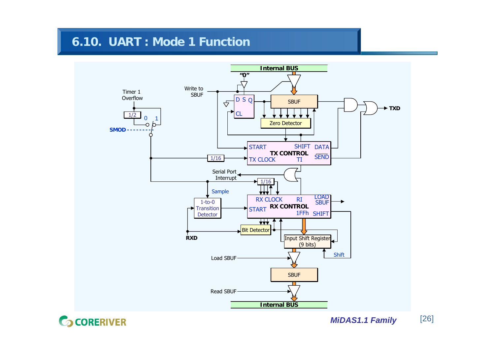# **6.10. UART : Mode 1 Function**



**GCORERIVER** 

*MiDAS1.1 Family* [26]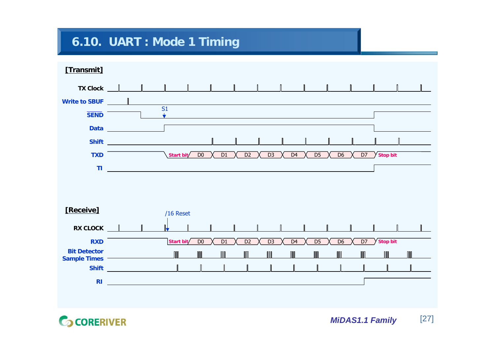# **6.10. UART : Mode 1 Timing**



**GCORERIVER** 

*MiDAS1.1 Family* [27]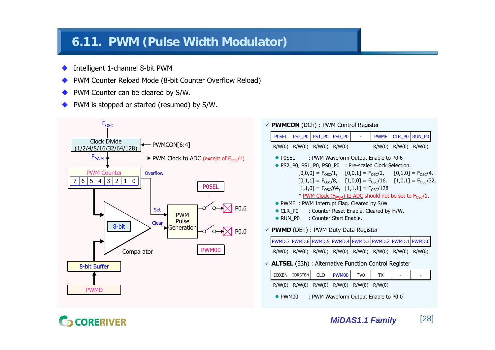# **6.11. PWM (Pulse Width Modulator)**

- ◆ Intelligent 1-channel 8-bit PWM
- ♦ PWM Counter Reload Mode (8-bit Counter Overflow Reload)
- ◆ PWM Counter can be cleared by S/W.
- ♦ PWM is stopped or started (resumed) by S/W.



9 **PWMCON** (DCh) : PWM Control Register

| <b>POSEL</b>                                                              |                | <b>PS2_P0   PS1_P0  </b>    | <b>PS0_P0</b>                                                                    |                 | <b>PWMF</b> | $CLR_P0$                   | <b>RUN_PO</b>                                                                                |  |  |  |
|---------------------------------------------------------------------------|----------------|-----------------------------|----------------------------------------------------------------------------------|-----------------|-------------|----------------------------|----------------------------------------------------------------------------------------------|--|--|--|
|                                                                           |                | R/W(0) R/W(0) R/W(0) R/W(0) |                                                                                  |                 |             | $R/W(0)$ $R/W(0)$ $R/W(0)$ |                                                                                              |  |  |  |
|                                                                           |                |                             | • POSEL : PWM Waveform Output Enable to P0.6                                     |                 |             |                            |                                                                                              |  |  |  |
| • PS2_P0, PS1_P0, PS0_P0 : Pre-scaled Clock Selection.                    |                |                             |                                                                                  |                 |             |                            |                                                                                              |  |  |  |
|                                                                           |                |                             |                                                                                  |                 |             |                            | $[0,0,0] = F_{\text{osc}}/1$ , $[0,0,1] = F_{\text{osc}}/2$ , $[0,1,0] = F_{\text{osc}}/4$ , |  |  |  |
|                                                                           |                |                             |                                                                                  |                 |             |                            | $[0,1,1] = F_{OSC}/8$ , $[1,0,0] = F_{OSC}/16$ , $[1,0,1] = F_{OSC}/32$ ,                    |  |  |  |
|                                                                           |                |                             | $[1,1,0] = F_{OSC}/64$ , $[1,1,1] = F_{OSC}/128$                                 |                 |             |                            |                                                                                              |  |  |  |
|                                                                           |                |                             | * PWM Clock (F <sub>PWM</sub> ) to ADC should not be set to F <sub>OSC</sub> /1. |                 |             |                            |                                                                                              |  |  |  |
|                                                                           |                |                             | • PWMF : PWM Interrupt Flag. Cleared by S/W                                      |                 |             |                            |                                                                                              |  |  |  |
|                                                                           |                |                             | • CLR_P0 : Counter Reset Enable. Cleared by H/W.                                 |                 |             |                            |                                                                                              |  |  |  |
|                                                                           |                |                             |                                                                                  |                 |             |                            |                                                                                              |  |  |  |
| • RUN_P0 : Counter Start Enable.<br>✔ PWMD (DEh) : PWM Duty Data Register |                |                             |                                                                                  |                 |             |                            |                                                                                              |  |  |  |
|                                                                           |                |                             |                                                                                  |                 |             |                            |                                                                                              |  |  |  |
|                                                                           |                |                             | PWMD.7 PWMD.6 PWMD.5 PWMD.4 PWMD.3 PWMD.2 PWMD.1 PWMD.0                          |                 |             |                            |                                                                                              |  |  |  |
|                                                                           |                |                             | R/W(0) R/W(0) R/W(0) R/W(0) R/W(0) R/W(0) R/W(0) R/W(0)                          |                 |             |                            |                                                                                              |  |  |  |
|                                                                           |                |                             | $\checkmark$ ALTSEL (E3h) : Alternative Function Control Register                |                 |             |                            |                                                                                              |  |  |  |
| <b>IOXEN</b>                                                              | <b>IORSTEN</b> | <b>CLO</b>                  | <b>PWM00</b>                                                                     | TV <sub>0</sub> | <b>TX</b>   |                            |                                                                                              |  |  |  |
|                                                                           |                |                             | R/W(0) R/W(0) R/W(0) R/W(0) R/W(0) R/W(0)                                        |                 |             |                            |                                                                                              |  |  |  |

### *MiDAS1.1 Family* [28]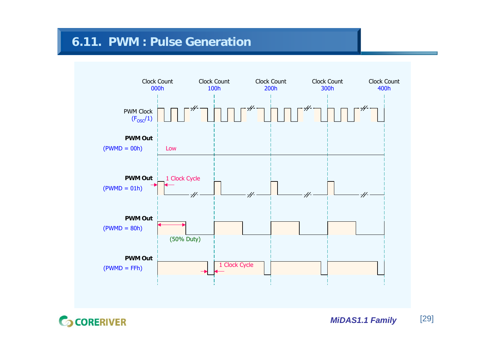# **6.11. PWM : Pulse Generation**



**CORERIVER** 

*MiDAS1.1 Family* [29]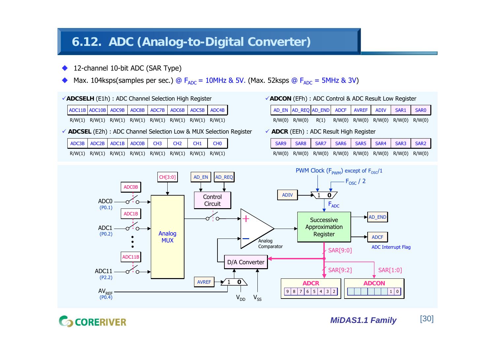# **6.12. ADC (Analog-to-Digital Converter)**

- ◆ 12-channel 10-bit ADC (SAR Type)
- ♦ • Max. 104ksps(samples per sec.) @  $F_{ADC}$  = 10MHz & 5V. (Max. 52ksps @  $F_{ADC}$  = 5MHz & 3V)
- 9**ADCSELH** (E1h) : ADC Channel Selection High Register

| ADC11B ADC10B ADC9B ADC8B ADC7B ADC6B ADC6B ADC5B ADC4B |  |  |  |  |
|---------------------------------------------------------|--|--|--|--|
|                                                         |  |  |  |  |

R/W(1) R/W(1) R/W(1) R/W(1) R/W(1) R/W(1) R/W(1) R/W(1)

9 **ADCSEL** (E2h) : ADC Channel Selection Low & MUX Selection Register

| ADC3B ADC2B ADC1B ADC0B CH3 CH2 CH1 CH0                 |  |  |  |
|---------------------------------------------------------|--|--|--|
| R/W(1) R/W(1) R/W(1) R/W(1) R/W(1) R/W(1) R/W(1) R/W(1) |  |  |  |

9**ADCON** (EFh) : ADC Control & ADC Result Low Register

|  | AD_EN AD_REQ AD_END ADCF AVREF ADIV SAR1 SAR0         |  |  |  |
|--|-------------------------------------------------------|--|--|--|
|  | R/W(0) R/W(0) R(1) R/W(0) R/W(0) R/W(0) R/W(0) R/W(0) |  |  |  |

### 9 **ADCR** (EEh) : ADC Result High Register

|  |  | SAR9 SAR8 SAR7 SAR6 SAR5 SAR4 SAR3 SAR2                                 |  |  |
|--|--|-------------------------------------------------------------------------|--|--|
|  |  | $R/W(0)$ $R/W(0)$ $R/W(0)$ $R/W(0)$ $R/W(0)$ $R/W(0)$ $R/W(0)$ $R/W(0)$ |  |  |



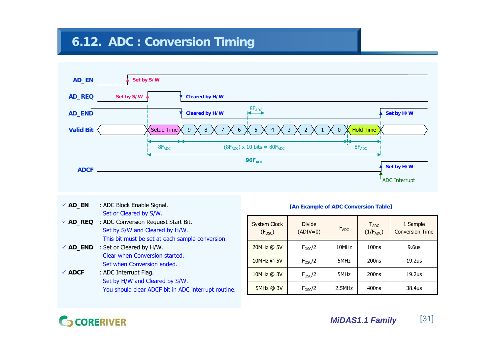# **6.12. ADC : Conversion Timing**



 $\checkmark$  AD EN **ADC Block Enable Signal.** Set or Cleared by S/W. 9 **AD\_REQ** : ADC Conversion Request Start Bit. Set by S/W and Cleared by H/W. This bit must be set at each sample conversion. ◆ **AD\_END** : Set or Cleared by H/W. Clear when Conversion started.Set when Conversion ended. $\checkmark$  ADCF **: ADC Interrupt Flag.** Set by H/W and Cleared by S/W.

### You should clear ADCF bit in ADC interrupt routine.

### **[An Example of ADC Conversion Table]**

| <b>System Clock</b><br>(F <sub>osc</sub> ) | <b>Divide</b><br>$(ADIV=0)$ | $F_{ADC}$ | $T_{ADC}$<br>$(1/F_{ADC})$ | 1 Sample<br><b>Conversion Time</b> |
|--------------------------------------------|-----------------------------|-----------|----------------------------|------------------------------------|
| 20MHz @ 5V                                 | $F_{OSC}/2$                 | 10MHz     | 100ns                      | 9.6 <sub>us</sub>                  |
| 10MHz @ 5V                                 | $F_{OSC}/2$                 |           | 200 <sub>ns</sub>          | 19.2us                             |
| 10MHz @ 3V                                 | $F_{OSC}/2$                 | 5MHz      | 200 <sub>ns</sub>          | 19.2us                             |
| 5MHz @ 3V                                  | $F_{OSC}/2$                 | $2.5$ MHz | 400 <sub>ns</sub>          | 38.4us                             |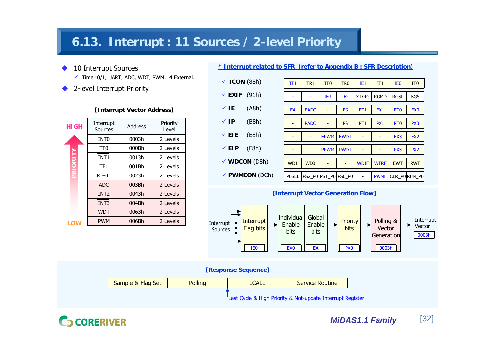# **6.13. Interrupt : 11 Sources / 2-level Priority**

- ◆ 10 Interrupt Sources
	- $\checkmark$  Timer 0/1, UART, ADC, WDT, PWM, 4 External.
- ♦ 2-level Interrupt Priority

### **[Interrupt Vector Address]**

| <b>HIGH</b>     | Interrupt<br>Sources | Address | Priority<br>Level |  |
|-----------------|----------------------|---------|-------------------|--|
|                 | INT <sub>0</sub>     | 0003h   | 2 Levels          |  |
|                 | TF0                  | 000Bh   | 2 Levels          |  |
| <b>PRIORITY</b> | <b>INT1</b>          | 0013h   | 2 Levels          |  |
|                 | TF <sub>1</sub>      | 001Bh   | 2 Levels          |  |
|                 | $RI+TI$              | 0023h   | 2 Levels          |  |
|                 | ADC.                 | 003Bh   | 2 Levels          |  |
|                 | INT <sub>2</sub>     | 0043h   | 2 Levels          |  |
|                 | INT <sub>3</sub>     | 004Bh   | 2 Levels          |  |
|                 | <b>WDT</b>           | 0063h   | 2 Levels          |  |
| ıο              | <b>PWM</b>           | 006Bh   | 2 Levels          |  |

### **\* Interrupt related to SFR (refer to Appendix B : SFR Description)**

| $\checkmark$ TCON (88h)  |       | TF <sub>1</sub> | TR <sub>1</sub>             | TF <sub>0</sub> | TR <sub>0</sub> | IE1             | IT1             | IE <sub>0</sub> | IT <sub>0</sub> |
|--------------------------|-------|-----------------|-----------------------------|-----------------|-----------------|-----------------|-----------------|-----------------|-----------------|
| $\times$ EXIF            | (91h) |                 |                             | IE <sub>3</sub> | IE <sub>2</sub> | XT/RG           | <b>RGMD</b>     | <b>RGSL</b>     | <b>BGS</b>      |
| √ IE                     | (A8h) | EA              | <b>EADC</b>                 |                 | <b>ES</b>       | ET <sub>1</sub> | EX <sub>1</sub> | ET <sub>0</sub> | EX <sub>0</sub> |
| $\checkmark$ IP          | (B8h) |                 | <b>PADC</b>                 |                 | <b>PS</b>       | PT <sub>1</sub> | PX <sub>1</sub> | PT <sub>0</sub> | PX <sub>0</sub> |
| $\times$ EIE             | (E8h) |                 |                             | <b>EPWM</b>     | <b>EWDT</b>     |                 |                 | EX3             | EX <sub>2</sub> |
| √ EIP                    | (F8h) |                 |                             | <b>PPWM</b>     | <b>PWDT</b>     |                 |                 | PX3             | PX <sub>2</sub> |
| $\checkmark$ WDCON (D8h) |       | WD1             | W <sub>D</sub> <sub>0</sub> |                 |                 | <b>WDIF</b>     | <b>WTRF</b>     | <b>EWT</b>      | <b>RWT</b>      |
| ✔ PWMCON (DCh)           |       | <b>POSEL</b>    | PS2_P0 PS1_P0 PS0_P0        |                 |                 |                 | <b>PWMF</b>     |                 | CLR_P0RUN_P0    |

### **[Interrupt Vector Generation Flow]**



**[Response Sequence]**



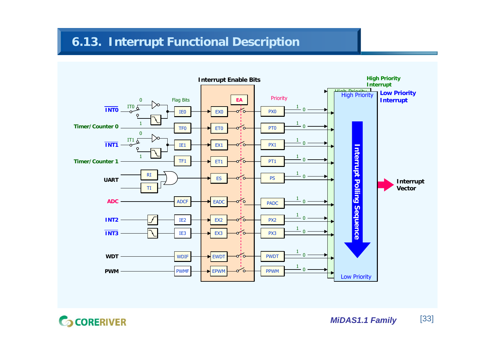# **6.13. Interrupt Functional Description**



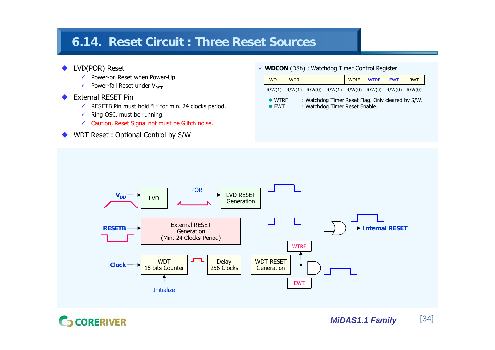# **6.14. Reset Circuit : Three Reset Sources**

### ◆ LVD(POR) Reset

- $\checkmark$  Power-on Reset when Power-Up.
- $\checkmark$  Power-fail Reset under V<sub>RST</sub>
- ◆ External RESET Pin
	- $\checkmark$  RESETB Pin must hold "L" for min. 24 clocks period.
	- $\checkmark$ Ring OSC. must be running.
	- $\checkmark$  Caution, Reset Signal not must be Glitch noise.
- ◆ WDT Reset : Optional Control by S/W

### 9 **WDCON** (D8h) : Watchdog Timer Control Register

| WD1                             | WD <sub>0</sub> |  |                                                                                     | WDIF WTRF EWT | <b>RWT</b> |
|---------------------------------|-----------------|--|-------------------------------------------------------------------------------------|---------------|------------|
|                                 |                 |  | R/W(1) R/W(1) R/W(0) R/W(1) R/W(0) R/W(0) R/W(0) R/W(0)                             |               |            |
| $\bullet$ WTRF<br>$\bullet$ FWT |                 |  | : Watchdog Timer Reset Flag. Only cleared by S/W.<br>: Watchdog Timer Reset Enable. |               |            |



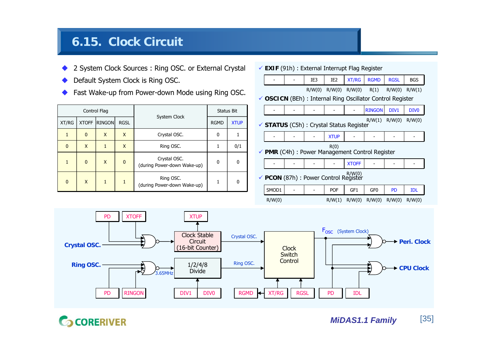# **6.15. Clock Circuit**

- ◆ 2 System Clock Sources : Ring OSC. or External Crystal
- ♦ Default System Clock is Ring OSC.
- ◆ Fast Wake-up from Power-down Mode using Ring OSC.

| Control Flag |              |               |              | System Clock                                | <b>Status Bit</b> |             |  |
|--------------|--------------|---------------|--------------|---------------------------------------------|-------------------|-------------|--|
| XT/RG        | <b>XTOFF</b> | <b>RINGON</b> | <b>RGSL</b>  |                                             | <b>RGMD</b>       | <b>XTUP</b> |  |
| 1            | $\mathbf{0}$ | X             | X            | Crystal OSC.                                | 0                 |             |  |
| $\mathbf{0}$ | X            |               | X            | Ring OSC.                                   | 1                 | 0/1         |  |
| $\mathbf{1}$ | $\mathbf{0}$ | X             | $\mathbf{0}$ | Crystal OSC.<br>(during Power-down Wake-up) | 0                 | ŋ           |  |
| $\mathbf{0}$ | X            | 1             | 1            | Ring OSC.<br>(during Power-down Wake-up)    | 1                 | 0           |  |

9 **EXIF** (91h) : External Interrupt Flag Register

|                                                         |  | IE3    | IE <sub>2</sub>                          | <b>XT/RG</b> | <b>RGMD</b>                                                | <b>RGSL</b> | <b>BGS</b>       |  |  |
|---------------------------------------------------------|--|--------|------------------------------------------|--------------|------------------------------------------------------------|-------------|------------------|--|--|
|                                                         |  | R/W(0) | R/W(0) R/W(0)                            |              | R(1)                                                       | R/W(0)      | R/W(1)           |  |  |
|                                                         |  |        |                                          |              | √ OSCICN (BEh) : Internal Ring Oscillator Control Register |             |                  |  |  |
|                                                         |  |        |                                          |              | <b>RINGON</b>                                              | DIV1        | DIV <sub>0</sub> |  |  |
|                                                         |  |        | ✔ STATUS (C5h) : Crystal Status Register |              | R/W(1)                                                     | R/W(0)      | R/W(0)           |  |  |
|                                                         |  |        | <b>XTUP</b>                              |              |                                                            |             |                  |  |  |
| R(0)<br>✔ PMR (C4h) : Power Management Control Register |  |        |                                          |              |                                                            |             |                  |  |  |
|                                                         |  |        |                                          | <b>XTOFF</b> |                                                            |             |                  |  |  |
| $\checkmark$ PCON (87h) : Power Control Register        |  |        |                                          |              |                                                            |             |                  |  |  |
| SMOD1                                                   |  |        | <b>POF</b>                               | GF1          | GF <sub>0</sub>                                            | <b>PD</b>   | <b>IDL</b>       |  |  |

R/W(0) R/W(1) R/W(0) R/W(0) R/W(0) R/W(0)

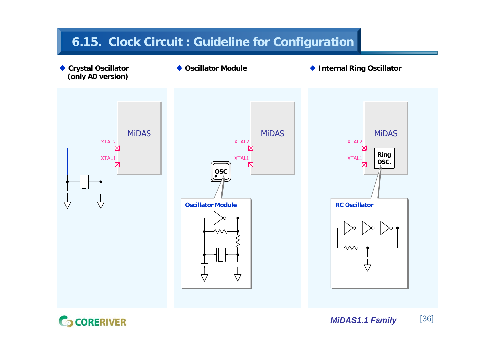# **6.15. Clock Circuit : Guideline for Configuration**

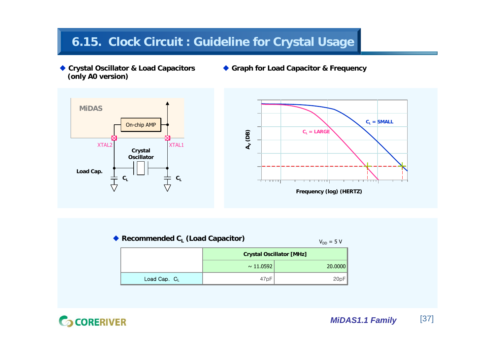# **6.15. Clock Circuit : Guideline for Crystal Usage**

- ◆ **Crystal Oscillator & Load Capacitors (only A0 version)**
- **Graph for Load Capacitor & Frequency**





| Recommended $C_i$ (Load Capacitor) |                  |                                 |  |  |  |  |  |
|------------------------------------|------------------|---------------------------------|--|--|--|--|--|
|                                    |                  | <b>Crystal Oscillator [MHz]</b> |  |  |  |  |  |
|                                    | $\sim 11.0592$   | 20.0000                         |  |  |  |  |  |
| Load Cap. $C_L$                    | 47 <sub>pF</sub> | 20pF                            |  |  |  |  |  |

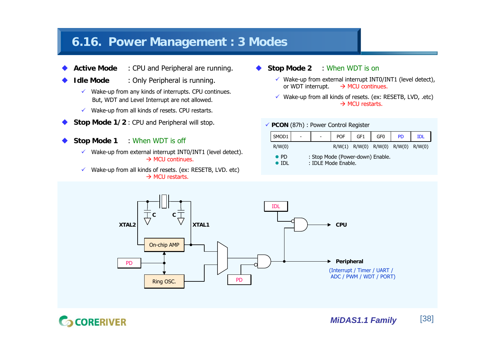## **6.16. Power Management : 3 Modes**

- ◆ **Active Mode** : CPU and Peripheral are running.
	- **Idle Mode** : Only Peripheral is running.
		- $\checkmark$  Wake-up from any kinds of interrupts. CPU continues. But, WDT and Level Interrupt are not allowed.
		- $\checkmark$  Wake-up from all kinds of resets. CPU restarts.
- ♦ **Stop Mode 1/2** : CPU and Peripheral will stop.
- ◆ **Stop Mode 1** : When WDT is off

♦

- $\checkmark$  Wake-up from external interrupt INT0/INT1 (level detect).  $\rightarrow$  MCU continues.
- $\checkmark$  Wake-up from all kinds of resets. (ex: RESETB, LVD. etc)  $\rightarrow$  MCU restarts.
- ◆ **Stop Mode 2** : When WDT is on
	- $\checkmark$  Wake-up from external interrupt INT0/INT1 (level detect), or WDT interrupt.  $\rightarrow$  MCU continues.
	- $\checkmark$  Wake-up from all kinds of resets. (ex: RESETB, LVD, .etc)  $\rightarrow$  MCU restarts.

#### 9 **PCON** (87h) : Power Control Register

| SMOD <sub>1</sub>                                                       |  |  | <b>POF</b> | GF <sub>1</sub>                              | GF <sub>0</sub> | <b>PD</b> |  |  |
|-------------------------------------------------------------------------|--|--|------------|----------------------------------------------|-----------------|-----------|--|--|
| R/W(0)                                                                  |  |  |            | $R/W(1)$ $R/W(0)$ $R/W(0)$ $R/W(0)$ $R/W(0)$ |                 |           |  |  |
| : Stop Mode (Power-down) Enable.<br>$\bullet$ PD<br>: IDLE Mode Enable. |  |  |            |                                              |                 |           |  |  |



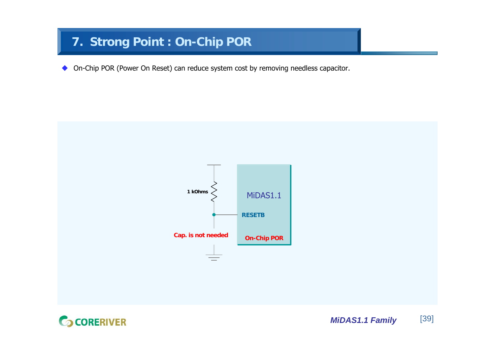# **7. Strong Point : On-Chip POR**

◆ On-Chip POR (Power On Reset) can reduce system cost by removing needless capacitor.



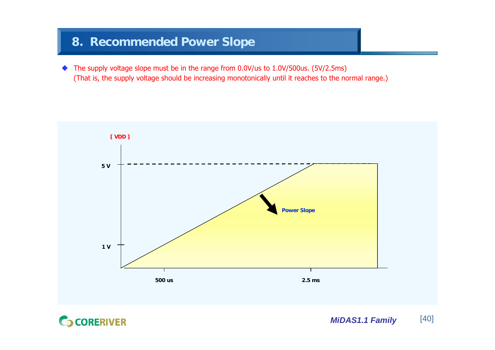## **8. Recommended Power Slope**

◆ The supply voltage slope must be in the range from 0.0V/us to 1.0V/500us. (5V/2.5ms) (That is, the supply voltage should be increasing monotonically until it reaches to the normal range.)



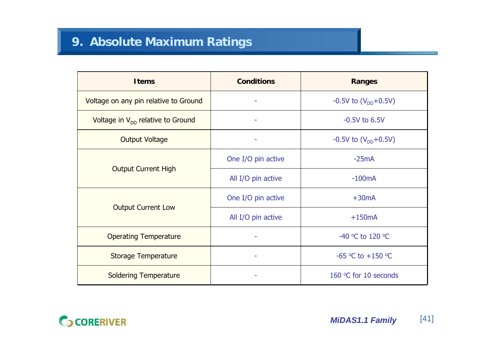| <b>Items</b>                           | <b>Conditions</b>  | <b>Ranges</b>              |  |  |
|----------------------------------------|--------------------|----------------------------|--|--|
| Voltage on any pin relative to Ground  |                    | $-0.5V$ to $(V_{DD}+0.5V)$ |  |  |
| Voltage in $V_{DD}$ relative to Ground |                    | $-0.5V$ to $6.5V$          |  |  |
| <b>Output Voltage</b>                  |                    | $-0.5V$ to $(V_{DD}+0.5V)$ |  |  |
|                                        | One I/O pin active | $-25mA$                    |  |  |
| <b>Output Current High</b>             | All I/O pin active | $-100mA$                   |  |  |
|                                        | One I/O pin active | $+30mA$                    |  |  |
| <b>Output Current Low</b>              | All I/O pin active | $+150mA$                   |  |  |
| <b>Operating Temperature</b>           |                    | -40 °C to 120 °C           |  |  |
| <b>Storage Temperature</b>             |                    | -65 °C to +150 °C          |  |  |
| <b>Soldering Temperature</b>           |                    | 160 °C for 10 seconds      |  |  |

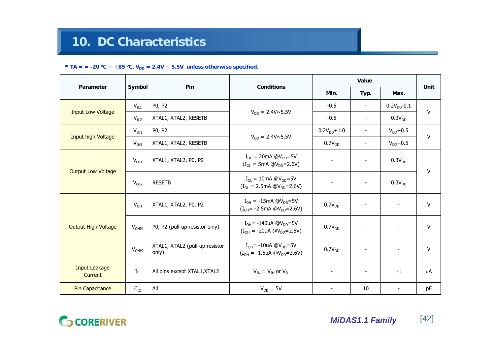#### \* TA = = -20 <sup>o</sup>C ~ +85 <sup>o</sup>C, V<sub>DD</sub> = 2.4V ~ 5.5V unless otherwise specified.

|                                 | Symbol           | Pin                                     | <b>Conditions</b>                                                                                                                                         |                          | Unit                     |                          |    |  |
|---------------------------------|------------------|-----------------------------------------|-----------------------------------------------------------------------------------------------------------------------------------------------------------|--------------------------|--------------------------|--------------------------|----|--|
| Parameter                       |                  |                                         |                                                                                                                                                           | Min.                     | Typ.                     | Max.                     |    |  |
| <b>Input Low Voltage</b>        | $V_{IL1}$        | P0, P2                                  | $V_{DD} = 2.4 V \sim 5.5 V$                                                                                                                               | $-0.5$                   | $\overline{\phantom{a}}$ | $0.2V_{DD} - 0.1$        | v  |  |
|                                 | V <sub>IL2</sub> | XTAL1, XTAL2, RESETB                    |                                                                                                                                                           | $-0.5$                   | $\overline{\phantom{a}}$ | $0.3V_{DD}$              |    |  |
| Input high Voltage              | $V_{IH1}$        | P0, P2                                  | $V_{DD} = 2.4 V \sim 5.5 V$                                                                                                                               | $0.2V_{DD}+1.0$          | $\overline{\phantom{a}}$ | $V_{DD}+0.5$             | ٧  |  |
|                                 | V <sub>IH2</sub> | XTAL1, XTAL2, RESETB                    |                                                                                                                                                           | 0.7V <sub>DD</sub>       |                          | $V_{DD}+0.5$             |    |  |
| <b>Output Low Voltage</b>       | $V_{OL1}$        | XTAL1, XTAL2, P0, P2                    | $I_{\text{OI}} = 20 \text{mA} \text{ @V}_{\text{DD}} = 5 \text{V}$<br>$\overline{\phantom{a}}$<br>$(I_{\text{OL}} = 5 \text{mA } @V_{\text{DD}} = 2.6 V)$ |                          |                          | 0.3V <sub>DD</sub>       | v  |  |
|                                 | $V_{OL2}$        | <b>RESETB</b>                           | $I_{\text{O}} = 10 \text{mA} \text{ @V}_{\text{DD}} = 5 \text{V}$<br>$(I_{\text{OL}} = 2.5 \text{mA } @V_{\text{DD}} = 2.6 \text{V})$                     | $\overline{\phantom{a}}$ |                          | $0.3V_{DD}$              |    |  |
|                                 | $V_{OH}$         | XTAL1, XTAL2, P0, P2                    | $I_{OH} = -15$ mA @V <sub>DD</sub> =5V<br>$(I_{OH} = -2.5mA \text{ @V}_{DD} = 2.6V)$                                                                      | 0.7V <sub>DD</sub>       |                          |                          | V  |  |
| <b>Output High Voltage</b>      | $V_{OHP1}$       | P0, P2 (pull-up resistor only)          | $I_{OH}$ = -140uA @V <sub>DD</sub> =5V<br>$(I_{OH} = -20uA \t\t\t\t@V_{DD} = 2.6V)$                                                                       | 0.7V <sub>DD</sub>       |                          | $\overline{\phantom{a}}$ | v  |  |
|                                 | $V_{OHP2}$       | XTAL1, XTAL2 (pull-up resistor<br>only) | $I_{OH}$ = -10uA @V <sub>DD</sub> =5V<br>$(I_{OH} = -1.5$ uA @V <sub>DD</sub> =2.6V)                                                                      | 0.7V <sub>DD</sub>       |                          | $\overline{\phantom{a}}$ | v  |  |
| <b>Input Leakage</b><br>Current | $I_{IL}$         | All pins except XTAL1, XTAL2            | $V_{IN} = V_{IH}$ or $V_{II}$                                                                                                                             | $\blacksquare$           | $\blacksquare$           | $\pm 1$                  | μA |  |
| <b>Pin Capacitance</b>          | $C_{IO}$         | All                                     | $V_{DD} = 5V$                                                                                                                                             | $\overline{\phantom{a}}$ | 10                       |                          | pF |  |

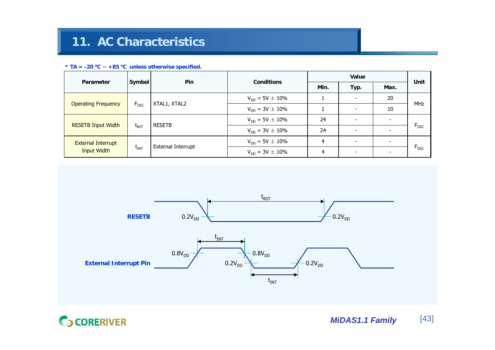#### \* TA =  $-20$  °C  $\sim$   $+85$  °C unless otherwise specified.

| Parameter                  |                  | <b>Pin</b>                             | <b>Conditions</b>      |      | Unit                     |                          |                  |  |
|----------------------------|------------------|----------------------------------------|------------------------|------|--------------------------|--------------------------|------------------|--|
|                            | Symbol           |                                        |                        | Min. | Typ.                     | Max.                     |                  |  |
| <b>Operating Frequency</b> |                  | XTAL1, XTAL2                           | $V_{DD} = 5V \pm 10\%$ |      | $\overline{\phantom{a}}$ | 20                       |                  |  |
|                            | $F_{\text{OSC}}$ |                                        | $V_{DD} = 3V \pm 10\%$ |      | ۰                        | 10                       | <b>MHz</b>       |  |
|                            |                  | <b>RESETB</b>                          | $V_{DD} = 5V \pm 10\%$ | 24   | $\overline{\phantom{0}}$ | $\overline{\phantom{a}}$ |                  |  |
| <b>RESETB Input Width</b>  | $t_{RST}$        |                                        | $V_{DD} = 3V \pm 10\%$ | 24   | $\overline{\phantom{0}}$ | $\overline{\phantom{a}}$ | $F_{\text{osc}}$ |  |
| <b>External Interrupt</b>  |                  | <b>External Interrupt</b><br>$t_{INT}$ | $V_{DD} = 5V \pm 10\%$ | 4    | $\overline{\phantom{0}}$ | $\overline{\phantom{a}}$ | $F_{\text{osc}}$ |  |
| <b>Input Width</b>         |                  |                                        | $V_{DD} = 3V \pm 10\%$ | 4    | $\overline{\phantom{0}}$ | $\overline{\phantom{a}}$ |                  |  |



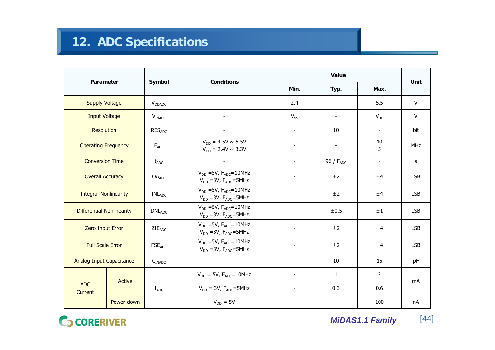|                                  |            |                             |                                                                   |                          |                          | Unit                     |            |
|----------------------------------|------------|-----------------------------|-------------------------------------------------------------------|--------------------------|--------------------------|--------------------------|------------|
| Parameter                        |            | Symbol                      | <b>Conditions</b>                                                 | Min.                     | Typ.                     | Max.                     |            |
| <b>Supply Voltage</b>            |            | $V_{DDADC}$                 | $\overline{\phantom{a}}$                                          | 2.4                      | $\overline{\phantom{a}}$ | 5.5                      | V          |
| <b>Input Voltage</b>             |            | $V_{INADC}$                 |                                                                   | $V_{SS}$                 | $\overline{\phantom{a}}$ | $V_{DD}$                 | V          |
| <b>Resolution</b>                |            | <b>RESADC</b>               |                                                                   | $\overline{\phantom{a}}$ | 10                       | $\overline{\phantom{a}}$ | bit        |
| <b>Operating Frequency</b>       |            | $F_{ADC}$                   | $V_{DD} = 4.5V \sim 5.5V$<br>$V_{DD} = 2.4V \sim 3.3V$            | $\overline{\phantom{a}}$ | $\overline{\phantom{a}}$ | 10<br>5                  | <b>MHz</b> |
| <b>Conversion Time</b>           |            | $t_{ADC}$                   |                                                                   | $\blacksquare$           | 96 / F <sub>ADC</sub>    | $\overline{\phantom{a}}$ | s          |
| <b>Overall Accuracy</b>          |            | OA <sub>ADC</sub>           | $V_{DD}$ =5V, $F_{ADC}$ =10MHz<br>$V_{DD}$ = 3V, $F_{ADC}$ = 5MHz | $\overline{\phantom{a}}$ | $\pm 2$                  | ±4                       | <b>LSB</b> |
| <b>Integral Nonlinearity</b>     |            | $\mathsf{INL}_\mathsf{ADC}$ | $V_{DD}$ =5V, $F_{ADC}$ =10MHz<br>$V_{DD}$ = 3V, $F_{ADC}$ = 5MHz |                          | $\pm 2$                  | ±4                       | <b>LSB</b> |
| <b>Differential Nonlinearity</b> |            | DNL <sub>ADC</sub>          | $V_{DD}$ =5V, $F_{ADC}$ =10MHz<br>$V_{DD}$ = 3V, $F_{ADC}$ = 5MHz | $\overline{\phantom{a}}$ | $\pm 0.5$                | $\pm 1$                  | <b>LSB</b> |
| <b>Zero Input Error</b>          |            | $ZIE_{ADC}$                 | $V_{DD}$ =5V, $F_{ADC}$ =10MHz<br>$V_{DD}$ = 3V, $F_{ADC}$ = 5MHz |                          | $\pm 2$                  | ±4                       | <b>LSB</b> |
| <b>Full Scale Error</b>          |            | <b>FSE<sub>ADC</sub></b>    | $V_{DD}$ =5V, $F_{ADC}$ =10MHz<br>$V_{DD}$ = 3V, $F_{ADC}$ = 5MHz | $\overline{\phantom{a}}$ | $\pm 2$                  | ±4                       | <b>LSB</b> |
| <b>Analog Input Capacitance</b>  |            | $C_{INADC}$                 |                                                                   | $\blacksquare$           | 10                       | 15                       | pF         |
|                                  |            |                             | $V_{DD} = 5V$ , $F_{ADC} = 10MHz$                                 | $\overline{\phantom{a}}$ | $\mathbf{1}$             | $\overline{2}$           | mA         |
| <b>ADC</b><br>Current            | Active     | $I_{ADC}$                   | $V_{DD} = 3V$ , $F_{ADC} = 5MHz$                                  | $\overline{\phantom{a}}$ | 0.3                      | 0.6                      |            |
|                                  | Power-down |                             | $V_{DD} = 5V$                                                     |                          |                          | 100                      | nA         |

**G** CORERIVER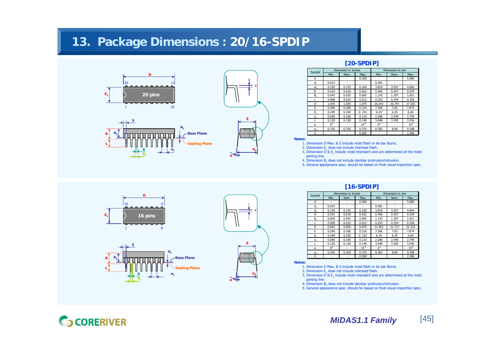## **13. Package Dimensions : 20/16-SPDIP**





e.,

**A1**

**Seating Plane Base Plane**



### **[20-SPDIP]**

| Symbol                          |             | Dimension in Inches |       | Dimension in mm |        |        |  |
|---------------------------------|-------------|---------------------|-------|-----------------|--------|--------|--|
|                                 | Min.        | Nom.                | Max.  | Min.            | Nom.   | Max.   |  |
| Α                               |             |                     | 0.200 |                 |        | 5.080  |  |
| $A_1$                           | 0.015       |                     |       | 0.381           |        |        |  |
| A,                              | 0.150       | 0.155               | 0.160 | 3.810           | 3.937  | 4.064  |  |
| B                               | 0.016       | 0.018               | 0.022 | 0.406           | 0.457  | 0.559  |  |
| $B_1$                           | 0.045       | 0.055               | 0.065 | 1.143           | 1.397  | 1.651  |  |
| c                               | 0.008       | 0.010               | 0.012 | 0.203           | 0.254  | 0.356  |  |
| D                               | 1.045       | 1.055               | 1.075 | 26.543          | 26.797 | 27.305 |  |
| F                               | 0.290       | 0.300               | 0.310 | 7.366           | 7.62   | 7.874  |  |
| $E_1$                           | 0.249       | 0.250               | 0.251 | 6.10            | 6.35   | 6.60   |  |
| e <sub>1</sub>                  | 0.090       | 0.100               | 0.110 | 2.286           | 2.540  | 2.794  |  |
|                                 | 0.120       | 0.130               | 0.140 | 3.048           | 3.302  | 3.556  |  |
| a                               | $0^{\circ}$ |                     | 15°   | $0^{\circ}$     |        | 15°    |  |
| $e_{\scriptscriptstyle\Lambda}$ | 0.330       | 0.350               | 0.370 | 8.382           | 8.89   | 9.398  |  |
| S                               |             |                     | 0.090 |                 |        | 2.286  |  |

**Notes:**

- 1. Dimension D Max. & S include mold flash or tie bar Burns.2. Dimension  $\mathsf{E}_1$  dose not include interlead flash.
- 3. Dimension D &  $\mathsf{E}_1$  include mold mismatch and are determined at the mold parting line.
- 4. Dimension  $B_1$  does not include dambar protrusion/intrusion.
- 5. General appearance spec. should be based on final visual inspection spec.



**S**

**B1**



#### **[16-SPDIP]**

| Symbol         |             | Dimension in Inches |       | Dimension in mm |        |        |
|----------------|-------------|---------------------|-------|-----------------|--------|--------|
|                | Min.        | Nom.                | Max.  | Min.            | Nom.   | Max.   |
| A              |             |                     | 0.200 |                 |        | 5.080  |
| $A_1$          | 0.015       |                     |       | 0.381           |        |        |
| A,             | 0.150       | 0.155               | 0.160 | 3.810           | 3.937  | 4.064  |
| B              | 0.016       | 0.018               | 0.022 | 0.406           | 0.457  | 0.559  |
| $B_1$          | 0.045       | 0.055               | 0.065 | 1.143           | 1.397  | 1.651  |
| c              | 0.008       | 0.010               | 0.012 | 0.203           | 0.254  | 0.356  |
| D              | 0.845       | 0.855               | 0.875 | 21.463          | 21.717 | 22.225 |
| F              | 0.290       | 0.300               | 0.310 | 7.366           | 7.62   | 7.874  |
| $E_1$          | 0.249       | 0.250               | 0.251 | 6.10            | 6.35   | 6.60   |
| e <sub>1</sub> | 0.090       | 0.100               | 0.110 | 2.286           | 2.540  | 2.794  |
|                | 0.120       | 0.130               | 0.140 | 3.048           | 3.302  | 3.556  |
| a              | $0^{\circ}$ |                     | 15°   | $0^{\circ}$     |        | 15°    |
| $e_{A}$        | 0.330       | 0.350               | 0.370 | 8.382           | 8.89   | 9.398  |
| S              |             |                     | 0.090 |                 |        | 2.286  |

#### **Notes:**

- 1. Dimension D Max. & S include mold flash or tie bar Burns.
- 2. Dimension  $\mathsf{E}_1$  dose not include interlead flash.
- 3. Dimension D &  $\mathsf{E}_1$  include mold mismatch and are determined at the mold parting line.
- 4. Dimension  $B_1$  does not include dambar protrusion/intrusion.
- 5. General appearance spec. should be based on final visual inspection spec.

## **GCORERIVER**

**AL**

 $\mathsf{A}_2$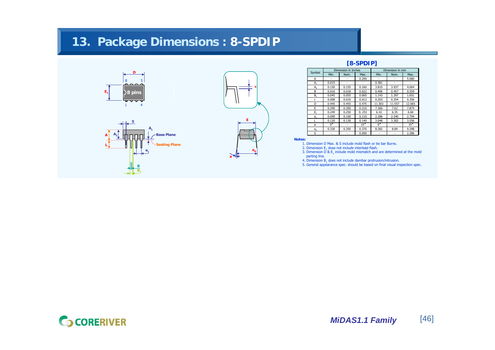# **13. Package Dimensions : 8-SPDIP**







### **[8-SPDIP]**

| Symbol                          |             | Dimension in Inches |       | Dimension in mm |        |        |  |
|---------------------------------|-------------|---------------------|-------|-----------------|--------|--------|--|
|                                 | Min.        | Nom.                | Max.  | Min.            | Nom.   | Max.   |  |
| Α                               |             |                     | 0.200 |                 |        | 5.080  |  |
| A,                              | 0.015       |                     |       | 0.381           |        |        |  |
| A,                              | 0.150       | 0.155               | 0.160 | 3.810           | 3.937  | 4.064  |  |
| B                               | 0.016       | 0.018               | 0.022 | 0.406           | 0.457  | 0.559  |  |
| в.                              | 0.045       | 0.055               | 0.065 | 1.143           | 1.397  | 1.651  |  |
| c                               | 0.008       | 0.010               | 0.012 | 0.203           | 0.254  | 0.356  |  |
| D                               | 0.445       | 0.455               | 0.475 | 11.303          | 11.557 | 12.065 |  |
| F                               | 0.290       | 0.300               | 0.310 | 7.366           | 7.62   | 7.874  |  |
| Ε,                              | 0.249       | 0.250               | 0.251 | 6.10            | 6.35   | 6.60   |  |
| e <sub>1</sub>                  | 0.090       | 0.100               | 0.110 | 2.286           | 2.540  | 2.794  |  |
|                                 | 0.120       | 0.130               | 0.140 | 3.048           | 3.302  | 3.556  |  |
| a                               | $0^{\circ}$ |                     | 15°   | 0°              |        | 15°    |  |
| $e_{\scriptscriptstyle\Lambda}$ | 0.330       | 0.350               | 0.370 | 8.382           | 8.89   | 9.398  |  |
| S                               |             |                     | 0.090 |                 |        | 2.286  |  |

**Notes:**

- 1. Dimension D Max. & S include mold flash or tie bar Burns.2. Dimension  $\mathsf{E}_\mathtt{i}$  dose not include interlead flash.
- 3. Dimension D &  $\mathsf{E}_1$  include mold mismatch and are determined at the mold parting line.
- 4. Dimension  $\mathsf{B}_1$  does not include dambar protrusion/intrusion.
- 5. General appearance spec. should be based on final visual inspection spec.

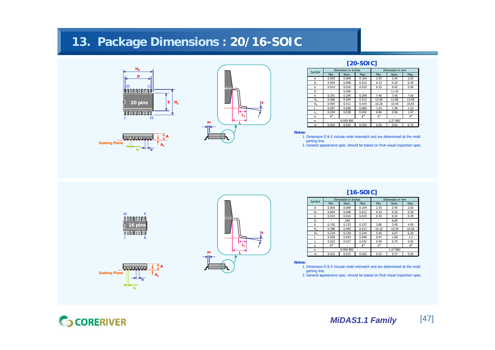## **13. Package Dimensions : 20/16-SOIC**





1 8

<u>AAAAAAAAA</u>

**be**

i populacija pr

**AA1**

**Seating Plane**

**16 pins**

16 9



## **[20-SOIC]**

| Symbol      |             | Dimension in Inches |             | Dimension in mm |       |             |
|-------------|-------------|---------------------|-------------|-----------------|-------|-------------|
|             | Min.        | Nom.                | Max.        | Min.            | Nom.  | Max.        |
| А           | 0.093       | 0.099               | 0.104       | 2.35            | 2.45  | 2.65        |
| $A_1$       | 0.004       | 0.008               | 0.012       | 0.10            | 0.20  | 0.30        |
| b           | 0.014       | 0.016               | 0.019       | 0.35            | 0.42  | 0.49        |
| D           |             | 0.450               |             |                 | 11.43 |             |
| E           | 0.291       | 0.295               | 0.299       | 7.40            | 7.50  | 7.60        |
| $H_{\rm D}$ | 0.496       | 0.504               | 0.512       | 12.60           | 12.80 | 13.00       |
| $H_F$       | 0.404       | 0.411               | 0.419       | 10.26           | 10.45 | 10.65       |
| L           | 0.057       | 0.058               | 0.060       | 1.43            | 1.48  | 1.53        |
|             | 0.034       | 0.038               | 0.042       | 0.86            | 0.96  | 1.07        |
| a           | $0^{\circ}$ |                     | $8^{\circ}$ | $0^{\circ}$     |       | $8^{\circ}$ |
| e           | 0.050 BSC   |                     |             | 1.27 BSC        |       |             |
| m           | 0.020       | 0.025               | 0.030       | 0.50            | 0.62  | 0.75        |

**Notes:**

 1. Dimension D & E include mold mismatch and are determined at the moldparting line.

2. General appearance spec. should be based on final visual inspection spec.



#### **[16-SOIC]**

| Symbol         |             | Dimension in Inches |             | Dimension in mm |       |             |
|----------------|-------------|---------------------|-------------|-----------------|-------|-------------|
|                | Min.        | Nom.                | Max.        | Min.            | Nom.  | Max.        |
| А              | 0.093       | 0.099               | 0.104       | 2.35            | 2.45  | 2.65        |
| А.             | 0.004       | 0.008               | 0.012       | 0.10            | 0.20  | 0.30        |
| b              | 0.014       | 0.016               | 0.019       | 0.35            | 0.42  | 0.49        |
| D              |             | .350                |             | ٠               | 8.89  |             |
| F              | 0.150       | 0.153               | 0.157       | 3.80            | 3.90  | 4.00        |
| H <sub>D</sub> | 0.398       | 0.405               | 0.413       | 10.10           | 10.29 | 10.50       |
| $H_F$          | 0.234       | 0.239               | 0.244       | 5.95            | 6.07  | 6.20        |
|                | 0.038       | 0.043               | 0.048       | 0.97            | 1.08  | 1.2         |
| L,             | 0.022       | 0.027               | 0.032       | 0.58            | 0.70  | 0.82        |
| a              | $0^{\circ}$ |                     | $8^{\circ}$ | $0^{\circ}$     |       | $8^{\circ}$ |
| e              |             | 0.050 BSC           |             | 1.27 BSC        |       |             |
| m              | 0.010       | 0.015               | 0.020       | 0.25            | 0.37  | 0.50        |

**Notes:**

- 1. Dimension D & E include mold mismatch and are determined at the moldparting line.
- 2. General appearance spec. should be based on final visual inspection spec.

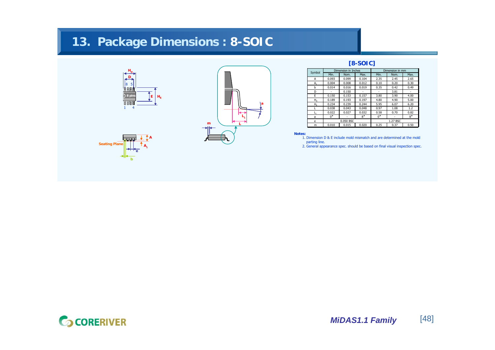# **13. Package Dimensions : 8-SOIC**







## **[8-SOIC]**

| Symbol      |             | Dimension in Inches |             | Dimension in mm |      |             |  |
|-------------|-------------|---------------------|-------------|-----------------|------|-------------|--|
|             | Min.        | Nom.                | Max.        | Min.            | Nom. | Max.        |  |
| А           | 0.093       | 0.099               | 0.104       | 2.35            | 2.45 | 2.65        |  |
| $A_1$       | 0.004       | 0.008               | 0.012       | 0.10            | 0.20 | 0.30        |  |
| h           | 0.014       | 0.016               | 0.019       | 0.35            | 0.42 | 0.49        |  |
| D           |             | 0.150               |             |                 | 3.81 |             |  |
| E           | 0.150       | 0.153               | 0.157       | 3.80            | 3.90 | 4.00        |  |
| $H_{\rm D}$ | 0.189       | 0.193               | 0.197       | 4.80            | 4.90 | 5.00        |  |
| H,          | 0.234       | 0.239               | 0.244       | 5.95            | 6.07 | 6.20        |  |
|             | 0.038       | 0.043               | 0.048       | 0.97            | 1.08 | 1.2         |  |
| L,          | 0.022       | 0.027               | 0.032       | 0.58            | 0.70 | 0.82        |  |
| a           | $0^{\circ}$ |                     | $8^{\circ}$ | $0^{\circ}$     |      | $8^{\circ}$ |  |
| e           | 0.050 BSC   |                     |             | 1.27 BSC        |      |             |  |
| m           | 0.010       | 0.015               | 0.020       | 0.25            | 0.37 | 0.50        |  |

**Notes:**

1. Dimension D & E include mold mismatch and are determined at the moldparting line.

2. General appearance spec. should be based on final visual inspection spec.

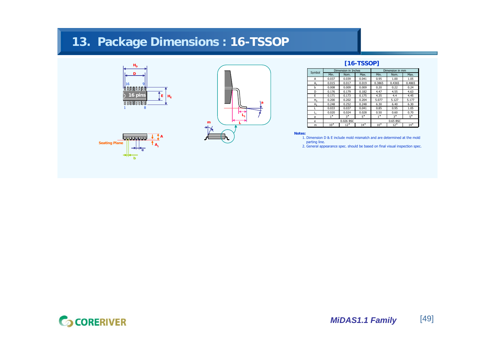# **13. Package Dimensions : 16-TSSOP**









## **[16-TSSOP]**

| Symbol      |              | Dimension in Inches |              | Dimension in mm |              |              |  |
|-------------|--------------|---------------------|--------------|-----------------|--------------|--------------|--|
|             | Min.         | Nom.                | Max.         | Min.            | Nom.         | Max.         |  |
| A           | 0.037        | 0.039               | 0.041        | 0.95            | 1.00         | 1.05         |  |
| $A_1$       | 0.015        | 0.017               | 0.019        | 0.3865          | 0.4365       | 0.4865       |  |
| b           | 0.008        | 0.009               | 0.009        | 0.20            | 0.22         | 0.24         |  |
| D           | 0.176        | 0.179               | 0.182        | 4.47            | 4.55         | 4.63         |  |
| F           | 0.171        | 0.173               | 0.175        | 4.35            | 4.4          | 4.45         |  |
| $H_{\rm D}$ | 0.200        | 0.202               | 0.204        | 5.077           | 5.127        | 5.177        |  |
| $H_F$       | 0.248        | 0.252               | 0.248        | 6.30            | 6.40         | 6.30         |  |
| L           | 0.033        | 0.037               | 0.041        | 0.85            | 0.95         | 1.05         |  |
|             | 0.020        | 0.024               | 0.028        | 0.50            | 0.60         | 0.70         |  |
| a           | $1^{\circ}$  | 3°                  | $5^{\circ}$  | $1^{\circ}$     | 3°           | $5^{\circ}$  |  |
| e           |              | 0.026 BSC           |              | 0.65 BSC        |              |              |  |
| m           | $10^{\circ}$ | $12^{\circ}$        | $14^{\circ}$ | $10^{\circ}$    | $12^{\circ}$ | $14^{\circ}$ |  |

**Notes:**

 1. Dimension D & E include mold mismatch and are determined at the mold parting line.

2. General appearance spec. should be based on final visual inspection spec.

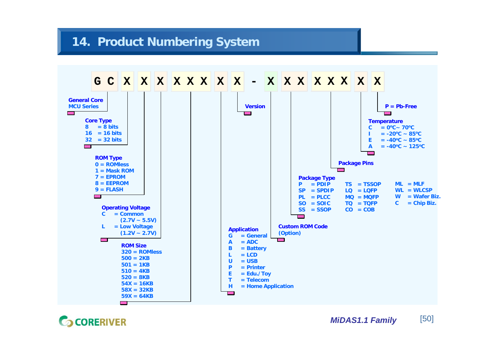## **14. Product Numbering System**



**GCORERIVER**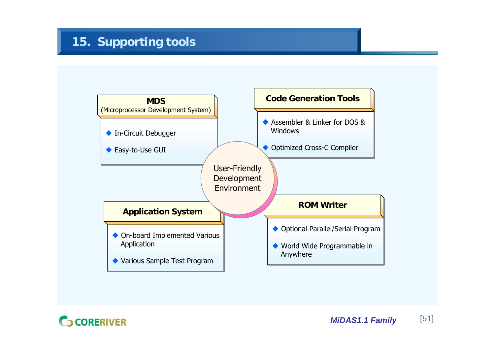

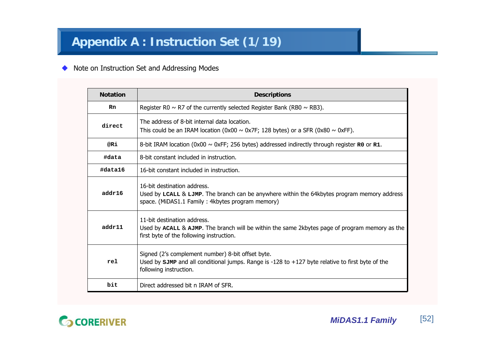#### ◆ Note on Instruction Set and Addressing Modes

| <b>Notation</b> | <b>Descriptions</b>                                                                                                                                                               |
|-----------------|-----------------------------------------------------------------------------------------------------------------------------------------------------------------------------------|
| Rn              | Register R0 $\sim$ R7 of the currently selected Register Bank (RB0 $\sim$ RB3).                                                                                                   |
| direct          | The address of 8-bit internal data location.<br>This could be an IRAM location (0x00 $\sim$ 0x7F; 128 bytes) or a SFR (0x80 $\sim$ 0xFF).                                         |
| @Ri             | 8-bit IRAM location (0x00 $\sim$ 0xFF; 256 bytes) addressed indirectly through register R0 or R1.                                                                                 |
| #data           | 8-bit constant included in instruction.                                                                                                                                           |
| #data16         | 16-bit constant included in instruction.                                                                                                                                          |
| addr16          | 16-bit destination address.<br>Used by LCALL & LJMP. The branch can be anywhere within the 64kbytes program memory address<br>space. (MiDAS1.1 Family: 4kbytes program memory)    |
| addr11          | 11-bit destination address.<br>Used by ACALL & AJMP. The branch will be within the same 2kbytes page of program memory as the<br>first byte of the following instruction.         |
| rel             | Signed (2's complement number) 8-bit offset byte.<br>Used by $sJMP$ and all conditional jumps. Range is -128 to +127 byte relative to first byte of the<br>following instruction. |
| bit             | Direct addressed bit n IRAM of SFR.                                                                                                                                               |

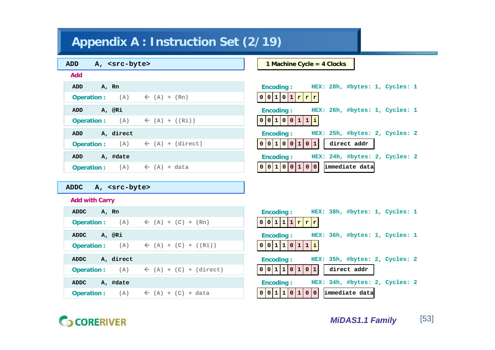# **Appendix A : Instruction Set (2/19)**

| A, <src-byte><br/><b>ADD</b></src-byte>           | 1 Machine Cycle = $4$ Clocks                       |
|---------------------------------------------------|----------------------------------------------------|
| <b>Add</b>                                        |                                                    |
| ADD<br>A, Rn                                      | Encoding:<br>HEX: 28h, #bytes: 1, Cycles: 1        |
| <b>Operation:</b> (A) $\leftarrow$ (A) + (Rn)     | 0 0 1 0 1 r r r                                    |
| A, @Ri<br>ADD                                     | <b>Encoding:</b><br>HEX: 26h, #bytes: 1, Cycles: 1 |
| <b>Operation:</b> (A) $\leftarrow$ (A) + ((Ri))   | 0 0 1 0 0 1 1 1 1                                  |
| A, direct<br>ADD                                  | HEX: 25h, #bytes: 2, Cycles: 2<br><b>Encoding:</b> |
| <b>Operation:</b> (A) $\leftarrow$ (A) + (direct) | 0 0 1 0 0 1<br>0 1 <br>direct addr                 |
| A, #date<br>ADD                                   | HEX: 24h, #bytes: 2, Cycles: 2<br><b>Encoding:</b> |
| <b>Operation:</b> (A) $\leftarrow$ (A) + data     | 0 0 <br>0 0 1 0 0 1 <br>immediate data             |

## **ADDC A, <src-byte>**

## **Add with Carry**

| ADDC                                                         | HEX: 38h, #bytes: 1, Cycles: 1     |
|--------------------------------------------------------------|------------------------------------|
| A, Rn                                                        | <b>Encoding:</b>                   |
| <b>Operation:</b> (A) $\leftarrow$ (A) + (C) + (Rn)          | $0 0 1 1 1 \mathbf{r} \mathbf{r} $ |
| A, @Ri                                                       | HEX: 36h, #bytes: 1, Cycles: 1     |
| ADDC                                                         | Encoding:                          |
| Operation: $(A)$ $\leftarrow (A) + (C) + ((Ri))$             | 0 0 1 1 0 1 1 1 1                  |
| A, direct                                                    | HEX: 35h, #bytes: 2, Cycles: 2     |
| <b>ADDC</b>                                                  | Encoding:                          |
| <b>Operation:</b> (A) $\leftarrow$ (A) + (C) + (direct)      | 0 0 1 1 0 1 0 1 <br>direct addr    |
| <b>ADDC</b>                                                  | HEX: 34h, #bytes: 2, Cycles: 2     |
| A, #date                                                     | Encoding:                          |
| $(A)$ $\leftarrow$ $(A)$ + $(C)$ + data<br><b>Operation:</b> | $0 0 1 1 0 1 0 0 $ immediate data  |

# **G** CORERIVER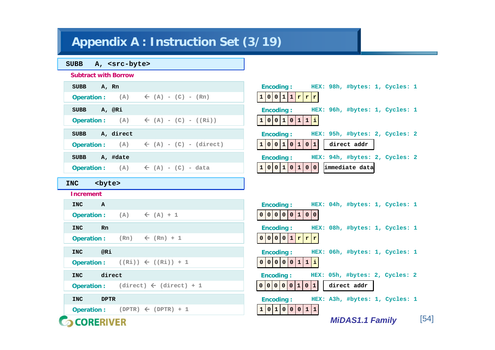# **Appendix A : Instruction Set (3/19)**

**GCORERIVER** 

| <b>SUBB</b><br>A, <src-byte></src-byte>                    |                                                    |
|------------------------------------------------------------|----------------------------------------------------|
| <b>Subtract with Borrow</b>                                |                                                    |
| <b>SUBB</b><br>A, Rn                                       | <b>Encoding:</b><br>HEX: 98h, #bytes: 1, Cycles: 1 |
| <b>Operation:</b> (A) $\leftarrow$ (A) - (C) - (Rn)        | 1 0 0 1 1 r r r                                    |
| A, @Ri<br><b>SUBB</b>                                      | <b>Encoding:</b><br>HEX: 96h, #bytes: 1, Cycles: 1 |
| <b>Operation:</b> (A) $\leftarrow$ (A) - (C) - ((Ri))      | 1 0 0 1 0 1 1 1 1                                  |
| A, direct<br><b>SUBB</b>                                   | <b>Encoding:</b><br>HEX: 95h, #bytes: 2, Cycles: 2 |
| $\leftarrow$ (A) - (C) - (direct)<br><b>Operation:</b> (A) | 1 0 0 1 0 1 0 1 <br>direct addr                    |
| A, #date<br><b>SUBB</b>                                    | <b>Encoding:</b><br>HEX: 94h, #bytes: 2, Cycles: 2 |
| <b>Operation:</b> (A) $\leftarrow$ (A) - (C) - data        | 1 0 0 1 0 1 0 0 <br>immediate data                 |
| <byte><br/><b>INC</b></byte>                               |                                                    |
| <b>Increment</b>                                           |                                                    |
| <b>INC</b><br>$\mathbf{A}$                                 | <b>Encoding:</b><br>HEX: 04h, #bytes: 1, Cycles: 1 |
| Operation: $(A)$ $\leftarrow (A) + 1$                      | 0 0 0 0 0 1 0 0                                    |
|                                                            |                                                    |
| <b>INC</b><br><b>Rn</b>                                    | <b>Encoding:</b><br>HEX: 08h, #bytes: 1, Cycles: 1 |
| <b>Operation:</b> (Rn)<br>$\leftarrow$ (Rn) + 1            | 0 0 0 0 1 r r r                                    |
| @Ri<br><b>INC</b>                                          | <b>Encoding:</b><br>HEX: 06h, #bytes: 1, Cycles: 1 |
| Operation: $((Ri)) \leftarrow ((Ri)) + 1$                  | 0 0 0 0 1 1 1 1                                    |
| direct<br><b>INC</b>                                       | HEX: 05h, #bytes: 2, Cycles: 2<br><b>Encoding:</b> |
| <b>Operation:</b> (direct) $\leftarrow$ (direct) + 1       | 0 0 0 0 0 1 0 1 <br>direct addr                    |
|                                                            |                                                    |
| <b>INC</b><br><b>DPTR</b>                                  | <b>Encoding:</b><br>HEX: A3h, #bytes: 1, Cycles: 1 |

*MiDAS1.1 Family* [54]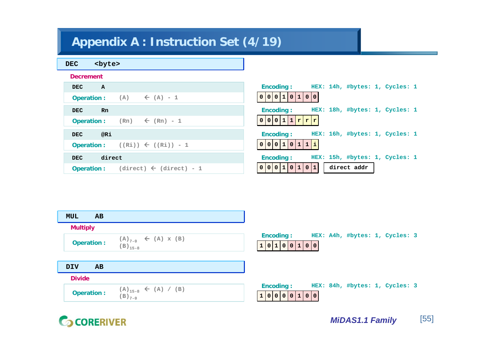# **Appendix A : Instruction Set (4/19)**

Å **(direct) - 1**

| <b>DEC</b><br><byte></byte>                         |                                                    |
|-----------------------------------------------------|----------------------------------------------------|
| <b>Decrement</b>                                    |                                                    |
| <b>DEC</b><br>A                                     | <b>Encoding:</b><br>HEX: 14h, #bytes: 1, Cycles: 1 |
| $(A) \left( A \right) - 1$<br><b>Operation:</b>     | 0 0 0 1 0 1 0 0                                    |
| <b>DEC</b><br>Rn                                    | <b>Encoding:</b><br>HEX: 18h, #bytes: 1, Cycles: 1 |
| $(Rn) \leftarrow (Rn) - 1$<br><b>Operation:</b>     | 0 0 0 1 1 r r r                                    |
| @Ri<br><b>DEC</b>                                   | HEX: 16h, #bytes: 1, Cycles: 1<br><b>Encoding:</b> |
| $((Ri)) \leftarrow ((Ri)) - 1$<br><b>Operation:</b> | 0 0 0 1 0 1 1 1 1                                  |
| direct<br><b>DEC</b>                                | HEX: 15h, #bytes: 1, Cycles: 1<br><b>Encoding:</b> |

| <b>MUL</b><br>AB  |                                                                  |                                                                            |
|-------------------|------------------------------------------------------------------|----------------------------------------------------------------------------|
| <b>Multiply</b>   |                                                                  |                                                                            |
| <b>Operation:</b> | (A) <sub>7-0</sub> $\leftarrow$ (A) x (B)<br>(B) <sub>15-8</sub> | HEX: A4h, #bytes: 1, Cycles: 3<br><b>Encoding:</b><br> 0 1 0 0 1 0 0 <br>1 |
| DIV<br><b>AB</b>  |                                                                  |                                                                            |
| <b>Divide</b>     |                                                                  |                                                                            |
| <b>Operation:</b> | (A) <sub>15-8</sub> $\leftarrow$ (A) / (B)<br>(B) <sub>7-0</sub> | HEX: 84h, #bytes: 1, Cycles: 3<br><b>Encoding:</b><br>100000100100         |

**0 0 1 0 1 10 0**

**direct addr**

**G** CORERIVER

**Operation :**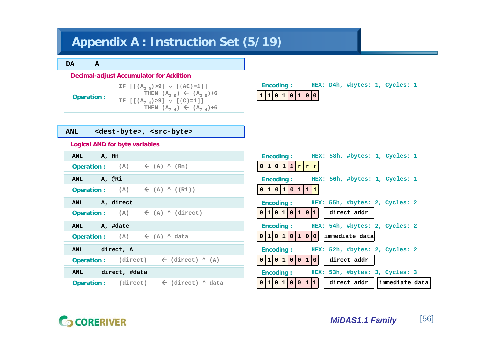# **Appendix A : Instruction Set (5/19)**

#### **DA A**

#### **Decimal-adjust Accumulator for Addition**

**Operation :**

**IF [[(A3-0)>9]**  ∨ **[(AC)=1]] THEN**  $(A_{3-0}) \leftarrow (A_{3-0})+6$ **IF [[(A7-4)>9]**  ∨ **[(C)=1]] THEN**  $(A_{7-4}) \leftarrow (A_{7-4})+6$ 

### **Encoding : HEX: D4h, #bytes: 1, Cycles: 1**



### **ANL <dest-byte>, <src-byte>**

#### **Logical AND for byte variables**

| ANL A, Rn     |                                                      |                                                                |
|---------------|------------------------------------------------------|----------------------------------------------------------------|
|               | <b>Operation:</b> (A) $\leftarrow$ (A) $\wedge$ (Rn) |                                                                |
| ANL A, @Ri    |                                                      |                                                                |
|               |                                                      | <b>Operation:</b> (A) $\leftarrow$ (A) $\wedge$ ((Ri))         |
| ANL A, direct |                                                      |                                                                |
|               |                                                      | <b>Operation:</b> (A) $\leftarrow$ (A) $\wedge$ (direct)       |
| ANL A, #date  |                                                      |                                                                |
|               | <b>Operation:</b> (A) $\leftarrow$ (A) $\land$ data  |                                                                |
| ANL direct, A |                                                      |                                                                |
|               |                                                      | <b>Operation:</b> (direct) $\leftarrow$ (direct) $\wedge$ (A)  |
|               | ANL direct, #data                                    |                                                                |
|               |                                                      | <b>Operation:</b> (direct) $\leftarrow$ (direct) $\wedge$ data |

| <b>Encoding:</b>                         |              |                              |                |                | HEX: 58h, #bytes: 1, Cycles: 1 |  |
|------------------------------------------|--------------|------------------------------|----------------|----------------|--------------------------------|--|
| $\mathbf{1}$<br>0<br>0                   | $\mathbf{1}$ | r r r                        |                |                |                                |  |
| Encoding :                               |              |                              |                |                | HEX: 56h, #bytes: 1, Cycles: 1 |  |
| 1 <sub>1</sub><br>$\mathbf{0}$<br>0<br>1 | $\mathbf 0$  | $\mathbf{1}$<br>$\mathbf{1}$ | E.             |                |                                |  |
| Encoding:                                |              |                              |                |                | HEX: 55h, #bytes: 2, Cycles: 2 |  |
| 11<br>1<br>l 0<br>0                      | $\mathbf 0$  | $\mathbf 0$<br>$\mathbf{1}$  | 1 <sub>1</sub> | direct addr    |                                |  |
| Encoding:                                |              |                              |                |                | HEX: 54h, #bytes: 2, Cycles: 2 |  |
| $\mathbf{1}$<br>1<br>$\mathbf 0$<br>0    | l 0          | $\mathbf{1}$<br>$\mathbf 0$  | 10 I           | immediate data |                                |  |
| <b>Encoding:</b>                         |              |                              |                |                | HEX: 52h, #bytes: 2, Cycles: 2 |  |
| $\mathbf{1}$<br>1<br>0<br>0              | $\mathbf 0$  | 1<br>$\mathbf 0$             | $\overline{0}$ | direct addr    |                                |  |
| <b>Encoding:</b>                         |              |                              |                |                | HEX: 53h, #bytes: 3, Cycles: 3 |  |
| $\mathbf{1}$<br>0                        | $\mathbf 0$  | 1                            | 1 <sup>1</sup> |                | direct addr llimmediate data   |  |

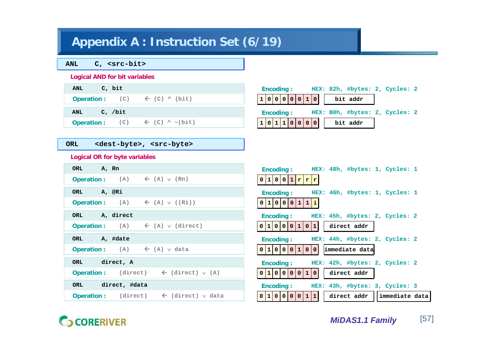# **Appendix A : Instruction Set (6/19)**

| <b>ANL</b> |  | $C,$ <src-bit></src-bit> |
|------------|--|--------------------------|
|------------|--|--------------------------|

#### **Logical AND for bit variables**

| C, bit  |                                                                  |
|---------|------------------------------------------------------------------|
|         | Operation: $(C)$ $\leftarrow$ $(C)$ $\wedge$ $(bit)$             |
|         |                                                                  |
| C, /bit |                                                                  |
|         | <b>Operation:</b> $(C)$ $\leftarrow$ $(C)$ $\sim$ $(\text{bit})$ |
|         |                                                                  |

|  |  | <b>Encoding:</b> |  |                 |  | HEX: 82h, #bytes: 2, Cycles: 2 |  |  |
|--|--|------------------|--|-----------------|--|--------------------------------|--|--|
|  |  |                  |  | 1 0 0 0 0 0 1 0 |  | bit addr                       |  |  |
|  |  | <b>Encoding:</b> |  |                 |  | HEX: BOh, #bytes: 2, Cycles: 2 |  |  |
|  |  |                  |  | 1 0 1 1 0 0 0 0 |  | bit addr                       |  |  |

## **ORL <dest-byte>, <src-byte>**

### **Logical OR for byte variables**

| A, Rn                                                              | HEX: 48h, #bytes: 1, Cycles: 1                       |
|--------------------------------------------------------------------|------------------------------------------------------|
| ORL                                                                | <b>Encoding:</b>                                     |
| $(A) \leftarrow (A) \vee (Rn)$<br><b>Operation:</b>                | 0 1 0 0 1 r r r                                      |
| A, @Ri                                                             | HEX: 46h, #bytes: 1, Cycles: 1                       |
| ORL                                                                | <b>Encoding:</b>                                     |
| $(A) \leftarrow (A) \vee ((Ri))$<br><b>Operation:</b>              | 100011<br>1 i <br>$\overline{0}$                     |
| A, direct                                                          | <b>Encoding:</b>                                     |
| ORL                                                                | HEX: 45h, #bytes: 2, Cycles: 2                       |
| $(A) \leftarrow (A) \vee (direct)$<br><b>Operation:</b>            | 0 1 0 0 0 1 <br>direct addr<br>0 1                   |
| A, #date                                                           | HEX: 44h, #bytes: 2, Cycles: 2                       |
| ORL                                                                | <b>Encoding:</b>                                     |
| $(A)$ $\leftarrow$ $(A)$ $\vee$ data<br><b>Operation:</b>          | immediate data<br>0 1 0 0 0 1 <br>0 0                |
| direct, A                                                          | HEX: 42h, #bytes: 2, Cycles: 2                       |
| ORL                                                                | <b>Encoding:</b>                                     |
| (direct)                                                           | 0 1 0 0 0 0                                          |
| $\leftarrow$ (direct) $\vee$ (A)                                   | direct addr                                          |
| <b>Operation:</b>                                                  | 1 0                                                  |
| direct, #data                                                      | HEX: 43h, #bytes: 3, Cycles: 3                       |
| ORL                                                                | <b>Encoding:</b>                                     |
| (direct)<br>$\leftarrow$ (direct) $\vee$ data<br><b>Operation:</b> | 0 1 0 0 0 0<br>immediate data<br>1 1 <br>direct addr |

# **G** CORERIVER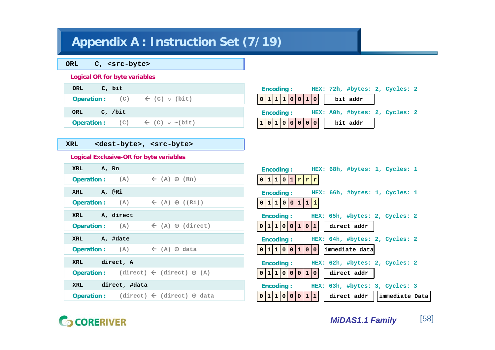# **Appendix A : Instruction Set (7/19)**

**ORL C, <src-byte>**

#### **Logical OR for byte variables**

| C, bit<br>ORL                                        |  |
|------------------------------------------------------|--|
| <b>Operation:</b> $(C) \leftarrow (C) \vee (bit)$    |  |
| C, /bit<br>ORL                                       |  |
| <b>Operation:</b> (C) $\leftarrow$ (C) $\vee$ ~(bit) |  |

### **XRL <dest-byte>, <src-byte>**

### **Logical Exclusive-OR for byte variables**

| A, Rn                                                                    | HEX: 68h, #bytes: 1, Cycles: 1                        |
|--------------------------------------------------------------------------|-------------------------------------------------------|
| XRL                                                                      | <b>Encoding:</b>                                      |
| $(A) \leftarrow (A) \oplus (Rn)$                                         | $0 1 1 0 1 $ r                                        |
| <b>Operation:</b>                                                        | r r                                                   |
| A, @Ri                                                                   | HEX: 66h, #bytes: 1, Cycles: 1                        |
| XRL                                                                      | <b>Encoding:</b>                                      |
| $\leftarrow$ (A) $\oplus$ ((Ri))<br>(A)<br><b>Operation:</b>             | 0 1 1 0 0 1<br>1 i                                    |
| A, direct                                                                | <b>Encoding:</b>                                      |
| XRL                                                                      | HEX: 65h, #bytes: 2, Cycles: 2                        |
| $(A)$ $\leftarrow$ $(A)$ $\oplus$ $(\text{direct})$<br><b>Operation:</b> | 1 <br>0 1 1 0 0 <br>direct addr<br>0 1                |
| A, #date                                                                 | HEX: 64h, #bytes: 2, Cycles: 2                        |
| XRL                                                                      | <b>Encoding:</b>                                      |
| <b>Operation:</b> (A) $\leftarrow$ (A) $\oplus$ data                     | 0 1 1 0 0 1 <br>immediate data<br>0 0                 |
| direct, A                                                                | HEX: 62h, #bytes: 2, Cycles: 2                        |
| XRL                                                                      | <b>Encoding:</b>                                      |
| (direct) $\leftarrow$ (direct) $\oplus$ (A)                              | 0 1 1 0 0 0 1 0                                       |
| <b>Operation:</b>                                                        | direct addr                                           |
| direct, #data                                                            | HEX: 63h, #bytes: 3, Cycles: 3                        |
| XRL                                                                      | <b>Encoding:</b>                                      |
| (direct) $\leftarrow$ (direct) $\oplus$ data<br><b>Operation:</b>        | 0 1 1 0 0 <br>$0111$<br>direct addr<br>immediate Data |

# **GCORERIVER**

**Encoding : HEX: 72h, #bytes: 2, Cycles: 2**

**HEX: A0h, #bytes: 2, Cycles: 2**

**0 1 1 1 0 0 1 0 bit addr**

**0 1 0 0 0 0 bit addr 1 0**

**Encoding :**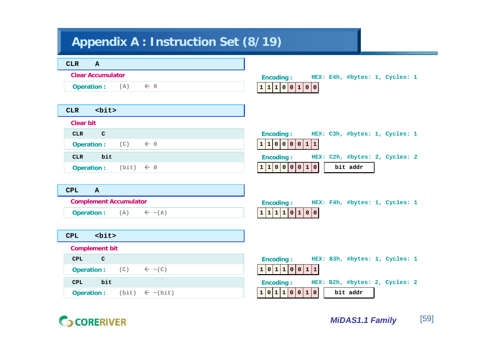# **Appendix A : Instruction Set (8/19)**

| <b>CLR</b><br>$\mathbf{A}$                         |                                                    |
|----------------------------------------------------|----------------------------------------------------|
| <b>Clear Accumulator</b>                           | <b>Encoding:</b><br>HEX: E4h, #bytes: 1, Cycles: 1 |
| $\leftarrow$ 0<br><b>Operation:</b> (A)            | 1 1 1 0 0 1 0 0                                    |
|                                                    |                                                    |
| $<$ bit $>$<br><b>CLR</b>                          |                                                    |
| <b>Clear bit</b>                                   |                                                    |
| $\mathbf C$<br>CLR                                 | <b>Encoding:</b><br>HEX: C3h, #bytes: 1, Cycles: 1 |
| $\leftarrow$ 0<br><b>Operation:</b><br>(C)         | 1 1 0 0 0 0 1 1                                    |
| bit<br><b>CLR</b>                                  | <b>Encoding:</b><br>HEX: C2h, #bytes: 2, Cycles: 2 |
| $(bit) \leftarrow 0$<br><b>Operation:</b>          | 1 1 0 0 0 0 1 0 <br>bit addr                       |
|                                                    |                                                    |
| <b>CPL</b><br>$\mathbf{A}$                         |                                                    |
| <b>Complement Accumulator</b>                      | <b>Encoding:</b><br>HEX: F4h, #bytes: 1, Cycles: 1 |
| <b>Operation:</b> (A)<br>$\leftarrow \sim (A)$     | 1 1 1 1 0 1 0 0                                    |
|                                                    |                                                    |
| $<$ bit $>$<br><b>CPL</b>                          |                                                    |
| <b>Complement bit</b>                              |                                                    |
| <b>CPL</b><br>$\mathbf{C}$                         | <b>Encoding:</b><br>HEX: B3h, #bytes: 1, Cycles: 1 |
| (C)<br>$\leftarrow$ ~(C)<br><b>Operation:</b>      | 1 0 1 1 0 0 1 1                                    |
| bit<br>CPL                                         | <b>Encoding:</b><br>HEX: B2h, #bytes: 2, Cycles: 2 |
| $(bit) \leftarrow \sim (bit)$<br><b>Operation:</b> | 1 0 1 1 0 0 1 0 <br>bit addr                       |

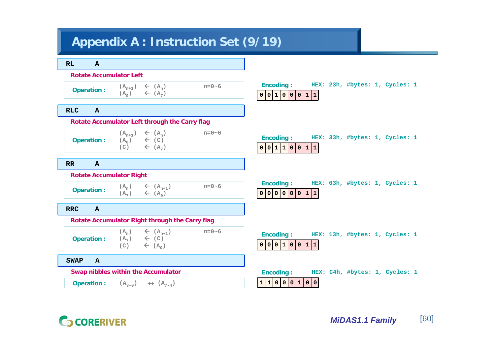## **Appendix A : Instruction Set (9/19)**



# **CORERIVER**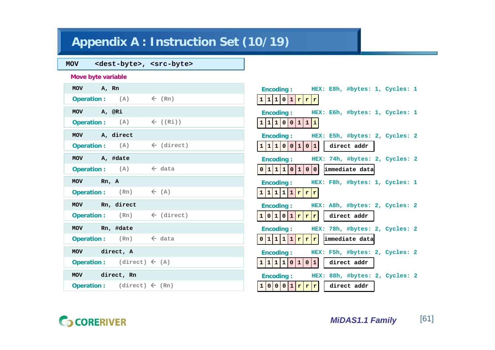# **Appendix A : Instruction Set (10/19)**

## **MOV <dest-byte>, <src-byte>**

**Move byte variable**

| MOV A, Rn                                                                | Encoding: HEX: E8h, #bytes: 1, Cycles: 1           |
|--------------------------------------------------------------------------|----------------------------------------------------|
| <b>Operation:</b> $(A)$ $\leftarrow$ $(Rn)$                              | 1 1 1 0 1 r r r                                    |
| MOV A, @Ri                                                               | Encoding: HEX: E6h, #bytes: 1, Cycles: 1           |
| <b>Operation:</b> $(A)$ $\left(\begin{array}{ccc} Ri \end{array}\right)$ | 1 1 1 0 0 1 1 1                                    |
| MOV A, direct                                                            | Encoding: HEX: E5h, #bytes: 2, Cycles: 2           |
| <b>Operation:</b> $(A)$ $\leftarrow$ (direct)                            | 1 1 1 0 0 1 0 1 <br>direct addr                    |
| MOV A, #date                                                             | Encoding: HEX: 74h, #bytes: 2, Cycles: 2           |
| Operation: $(A)$ $\leftarrow$ data                                       | $0 1 1 1 0 1 0 0 $ immediate data                  |
| MOV Rn, A                                                                | Encoding: HEX: F8h, #bytes: 1, Cycles: 1           |
| <b>Operation:</b> $(Rn)$ $\leftarrow (A)$                                | 1 1 1 1 1 r r r                                    |
| MOV Rn, direct                                                           | Encoding: HEX: A8h, #bytes: 2, Cycles: 2           |
| <b>Operation:</b> $(Rn)$ $\leftarrow$ (direct)                           | $1 0 1 0 1 r r r $ direct addr                     |
| MOV Rn, #date                                                            | Encoding: HEX: 78h, #bytes: 2, Cycles: 2           |
| <b>Operation:</b> $(Rn)$ $\leftarrow$ data                               | $0 1 1 1 1 r r r $ immediate data                  |
| MOV direct, A                                                            | HEX: F5h, #bytes: 2, Cycles: 2<br><b>Encoding:</b> |
| Operation: $(direct) \leftarrow (A)$                                     | $1 1 1 1 0 1 0 1 $ direct addr                     |
| MOV direct, Rn                                                           | Encoding: HEX: 88h, #bytes: 2, Cycles: 2           |
| <b>Operation:</b> (direct) $\leftarrow$ (Rn)                             | 1 0 0 0 1 r r r <br>  direct addr                  |



**G** CORERIVER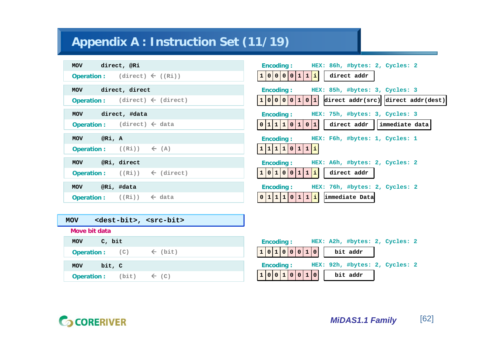# **Appendix A : Instruction Set (11/19)**

| direct, @Ri                                               | HEX: 86h, #bytes: 2, Cycles: 2                       |
|-----------------------------------------------------------|------------------------------------------------------|
| MOV                                                       | <b>Encoding:</b>                                     |
| Operation: $(direct) \leftarrow ((Ri))$                   | 1 0 0 0 0 1 1 1 1<br>direct addr                     |
| direct, direct                                            | HEX: 85h, #bytes: 3, Cycles: 3                       |
| MOV                                                       | <b>Encoding:</b>                                     |
| $(direct) \leftarrow (direct)$                            | direct $addr(src) $ direct $addr(dest) $             |
| <b>Operation:</b>                                         | 1 0 0 0 0 1 0 1                                      |
| direct, #data                                             | HEX: 75h, #bytes: 3, Cycles: 3                       |
| MOV                                                       | <b>Encoding:</b>                                     |
| Operation: $(direct) \leftarrow data$                     | 0 1 1 1 0 1 <br>direct addr<br>immediate data<br>0 1 |
| @Ri, A                                                    | HEX: F6h, #bytes: 1, Cycles: 1                       |
| MOV                                                       | <b>Encoding:</b>                                     |
| <b>Operation:</b> $((Ri)) \leftarrow (A)$                 | 1 1 1 1 0 1 1 1                                      |
| @Ri, direct                                               | <b>Encoding:</b>                                     |
| <b>MOV</b>                                                | HEX: A6h, #bytes: 2, Cycles: 2                       |
| $((Ri)) \leftarrow (direct)$                              | 1 0 1 0 0 1 1 1 1                                    |
| <b>Operation:</b>                                         | direct addr                                          |
| @Ri, #data                                                | HEX: 76h, #bytes: 2, Cycles: 2                       |
| MOV                                                       | <b>Encoding:</b>                                     |
| <b>Operation:</b> $((Ri))$ $\leftarrow$ data              | 0 1 1 1 0 1 1 1 <br>immediate Data                   |
|                                                           |                                                      |
| <dest-bit>, <src-bit><br/><b>MOV</b></src-bit></dest-bit> |                                                      |
| Move bit data                                             |                                                      |
| C, bit                                                    | <b>Encoding:</b>                                     |
| MOV                                                       | HEX: A2h, #bytes: 2, Cycles: 2                       |
| $\leftarrow$ (bit)<br>(C)<br><b>Operation:</b>            | 1 0 1 0 0 0 1 0 <br>bit addr                         |

**Operation : (bit)**

Å **(C)**

**0 0 1 0 0 0 bit addr 1 1 HEX: 92h, #bytes: 2, Cycles: 2 Encoding :**



**MOV bit, C**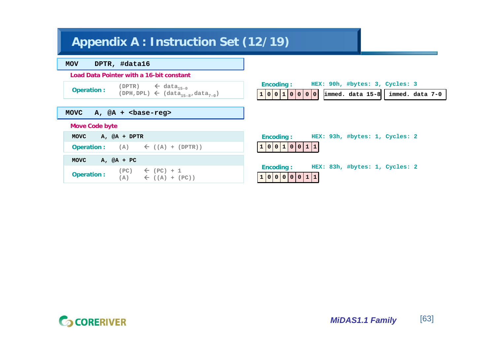# **Appendix A : Instruction Set (12/19)**

**MOV DPTR, #data16**

#### **Load Data Pointer with a 16-bit constant**

**MOVC A, @A + <base-reg>**

**(DPTR)**  $\leftarrow$  data<sub>15-0</sub> **Operation :**  $\overline{CPH, DPL}$   $\leftarrow$   $\overline{data}_{15-8}$ , data<sub>7-0</sub>)

|  | <b>Encoding:</b> |  |  |  |  |  | HEX: 90h, #bytes: 3, Cycles: 3                |  |
|--|------------------|--|--|--|--|--|-----------------------------------------------|--|
|  |                  |  |  |  |  |  | $1000100000$ immed. data 15-8 immed. data 7-0 |  |
|  |                  |  |  |  |  |  |                                               |  |
|  |                  |  |  |  |  |  |                                               |  |

### **Move Code byte**

| MOVC<br>$A$ , $@A + DPTR$                                                              | HEX: 93h, #bytes: 1, Cycles: 2<br><b>Encoding:</b>               |
|----------------------------------------------------------------------------------------|------------------------------------------------------------------|
| <b>Operation:</b> (A) $\leftarrow$ ((A) + (DPTR))                                      | 1000100111                                                       |
| MOVC<br>$A$ , $@A + PC$                                                                |                                                                  |
| $\leftarrow$ (PC) + 1<br>(PC)<br><b>Operation:</b><br>(A)<br>$\leftarrow$ ((A) + (PC)) | HEX: 83h, #bytes: 1, Cycles: 2<br><b>Encoding:</b><br>1000000111 |

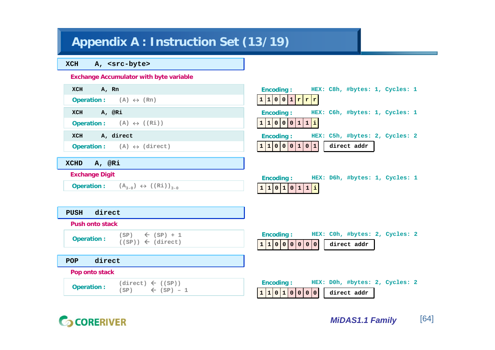# **Appendix A : Instruction Set (13/19)**

**XCH A, <src-byte>**

### **Exchange Accumulator with byte variable**

| A, Rn<br>XCH                                                                        | HEX: C8h, #bytes: 1, Cycles: 1<br><b>Encoding:</b>                                    |
|-------------------------------------------------------------------------------------|---------------------------------------------------------------------------------------|
| <b>Operation:</b> $(A) \leftrightarrow (Rn)$                                        | 1 1 0 0 1 r r r                                                                       |
| A, @Ri<br>XCH                                                                       | <b>Encoding:</b><br>HEX: C6h, #bytes: 1, Cycles: 1                                    |
| <b>Operation:</b> (A) $\leftrightarrow$ ((Ri))                                      | 1 1 0 0 0 1 1 1 1                                                                     |
| A, direct<br>XCH                                                                    | <b>Encoding:</b><br>HEX: C5h, #bytes: 2, Cycles: 2                                    |
| <b>Operation:</b> (A) $\Leftrightarrow$ (direct)                                    | 1 1 0 0 0 1 0 1 <br>direct addr                                                       |
| XCHD A, @Ri                                                                         |                                                                                       |
| <b>Exchange Digit</b>                                                               | <b>Encoding:</b><br>HEX: D6h, #bytes: 1, Cycles: 1                                    |
| <b>Operation:</b> $(A_{3-0}) \leftrightarrow ((Ri))_{3-0}$                          | 1 1 0 1 0 1 1 1 1                                                                     |
|                                                                                     |                                                                                       |
| direct<br>PUSH                                                                      |                                                                                       |
| <b>Push onto stack</b>                                                              |                                                                                       |
| $(SP) \leftarrow (SP) + 1$<br><b>Operation:</b>                                     | <b>Encoding:</b><br>HEX: COh, #bytes: 2, Cycles: 2                                    |
| $((SP)) \leftarrow (direct)$                                                        | 1 1 0 0 0 0 0 0 <br>direct addr                                                       |
| direct<br>POP                                                                       |                                                                                       |
| Pop onto stack                                                                      |                                                                                       |
| $(direct) \leftarrow ((SP))$<br><b>Operation:</b><br>$(SP)$ $\leftarrow$ $(SP) - 1$ | <b>Encoding:</b><br>HEX: DOh, #bytes: 2, Cycles: 2<br>1 1 0 1 0 0 0 0 <br>direct addr |

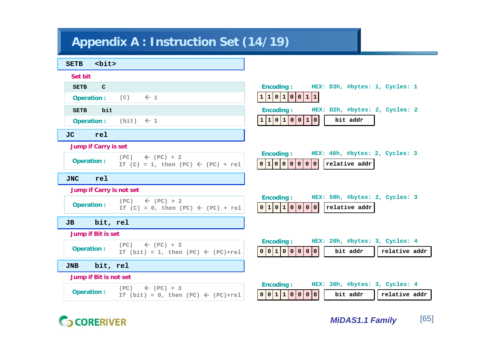# **Appendix A : Instruction Set (14/19)**

| $<$ bit $>$<br><b>SETB</b>  |                                                                                   |                                                                                                               |
|-----------------------------|-----------------------------------------------------------------------------------|---------------------------------------------------------------------------------------------------------------|
| Set bit                     |                                                                                   |                                                                                                               |
| <b>SETB</b><br>$\mathbf{C}$ |                                                                                   | <b>Encoding:</b><br>HEX: D3h, #bytes: 1, Cycles: 1                                                            |
| <b>Operation:</b>           | $\leftarrow$ 1<br>(C)                                                             | 1 1 0 1 0 0 1 1                                                                                               |
| bit<br><b>SETB</b>          |                                                                                   | HEX: D2h, #bytes: 2, Cycles: 2<br><b>Encoding:</b>                                                            |
| <b>Operation:</b>           | $(bit) \leftarrow 1$                                                              | 1 1 0 1 0 0 1 0 <br>bit addr                                                                                  |
| <b>JC</b><br>rel            |                                                                                   |                                                                                                               |
| <b>Jump if Carry is set</b> |                                                                                   |                                                                                                               |
| <b>Operation:</b>           | $\leftarrow$ (PC) + 2<br>(PC)<br>If $(C) = 1$ , then $(PC) \leftarrow (PC) + rel$ | <b>Encoding:</b><br>HEX: 40h, #bytes: 2, Cycles: 3<br>0 1 <br>$\circ$<br>relative addr                        |
| rel<br><b>JNC</b>           |                                                                                   |                                                                                                               |
| Jump if Carry is not set    |                                                                                   |                                                                                                               |
| <b>Operation:</b>           | $\leftarrow$ (PC) + 2<br>(PC)<br>If $(C) = 0$ , then $(PC) \leftarrow (PC) + rel$ | <b>Encoding:</b><br>HEX: 50h, #bytes: 2, Cycles: 3<br>0 1 0 1 0 0 0 0 <br>relative addr                       |
| bit, rel<br>JB              |                                                                                   |                                                                                                               |
| Jump if Bit is set          |                                                                                   |                                                                                                               |
| <b>Operation:</b>           | $\leftarrow$ (PC) + 3<br>(PC)<br>If (bit) = 1, then (PC) $\leftarrow$ (PC)+rel    | HEX: 20h, #bytes: 3, Cycles: 4<br><b>Encoding:</b><br>0 0 1 0 0 0 0 0 <br>bit addr<br>relative addr           |
| bit, rel<br><b>JNB</b>      |                                                                                   |                                                                                                               |
| Jump if Bit is not set      |                                                                                   |                                                                                                               |
| <b>Operation:</b>           | $\leftarrow$ (PC) + 3<br>(PC)<br>If (bit) = 0, then (PC) $\leftarrow$ (PC)+rel    | HEX: 30h, #bytes: 3, Cycles: 4<br><b>Encoding:</b><br>0 0 <br> 1 1 <br> 0 0 0 0 <br>bit addr<br>relative addr |

# **G** CORERIVER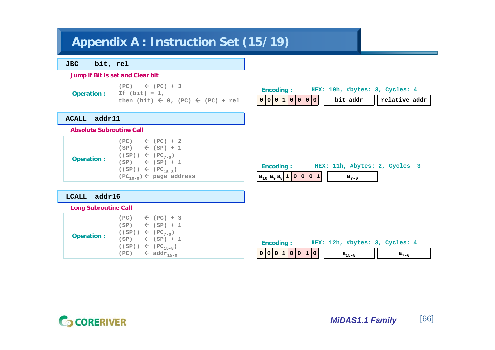## **Appendix A : Instruction Set (15/19)**

**JBC bit, rel**

**Jump if Bit is set and Clear bit**

**Operation :**

**(PC)** Å **(PC) + 3 If (bit) = 1, then (bit)**  Å **0, (PC)**  Å **(PC) + rel**

|  | <b>Encoding:</b> |  |  |  | HEX: 10h, #bytes: 3, Cycles: 4               |  |  |
|--|------------------|--|--|--|----------------------------------------------|--|--|
|  |                  |  |  |  | $0 0 0 1 0 0 0 0 $ bit addr    relative addr |  |  |
|  |                  |  |  |  |                                              |  |  |

#### **ACALL addr11**

**Absolute Subroutine Call**

| <b>Operation:</b> | $(PC)$ $\leftarrow$ $(PC) + 2$<br>$(SP) \leftarrow (SP) + 1$<br>$( (SP)) \leftarrow (PC_{7-0})$<br>$(SP) \leftarrow (SP) + 1$<br>$((SP)) \leftarrow (PC_{15-8})$<br>$(PC_{10-0}) \leftarrow$ page address |
|-------------------|-----------------------------------------------------------------------------------------------------------------------------------------------------------------------------------------------------------|
|-------------------|-----------------------------------------------------------------------------------------------------------------------------------------------------------------------------------------------------------|

| <b>Encoding:</b>                 |  |  |  |  |  |  |  | HEX: 11h, #bytes: 2, Cycles: 3 |  |  |
|----------------------------------|--|--|--|--|--|--|--|--------------------------------|--|--|
| $ a_{10} a_{9} a_{8} 1 0 0 0 1 $ |  |  |  |  |  |  |  | $a_{7-0}$                      |  |  |

### **LCALL addr16**

|                   | <b>Long Subroutine Call</b> |                                                                                                                                                                                                       |  |  |  |  |  |
|-------------------|-----------------------------|-------------------------------------------------------------------------------------------------------------------------------------------------------------------------------------------------------|--|--|--|--|--|
| <b>Operation:</b> |                             | $(PC)$ $\leftarrow$ $(PC) + 3$<br>$(SP) \leftarrow (SP) + 1$<br>$( (SP)) \leftarrow (PC_{7-0})$<br>$(SP) \leftarrow (SP) + 1$<br>$((SP)) \leftarrow (PC_{15-8})$<br>$(PC)$ $\leftarrow$ $addr_{15-0}$ |  |  |  |  |  |

|  | Encoding: |  |                 |  | HEX: 12h, #bytes: 3, Cycles: 4 |      |  |
|--|-----------|--|-----------------|--|--------------------------------|------|--|
|  |           |  | 0 0 0 1 0 0 1 0 |  | $a_{15-8}$                     | 77-0 |  |

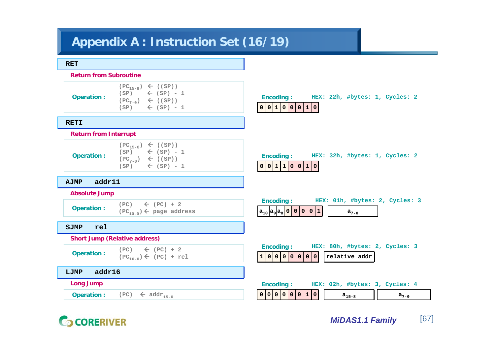## **Appendix A : Instruction Set (16/19)**

#### **RET**

**RETI**

#### **Return from Subroutine**

**Operation :**

 $(PC_{15-8}) \leftarrow ((SP))$ **(SP)**  Å **(SP) - 1 (PC7-0)**  Å **((SP)) (SP)**  Å **(SP) - 1**

## **Encoding : HEX: 22h, #bytes: 1, Cycles: 2 0 0 1 0 0 0 1 0**

## **Return from Interrupt**

 $(PC_{15-8}) \leftarrow ((SP))$ **(SP)**  Å **(SP) - 1 (PC7-0)**  Å **((SP)) (SP)**  Å **(SP) - 1 Operation :**

#### **AJMP addr11**

#### **Absolute Jump**

**(PC)** Å **(PC) + 2 Operation :**  $(FC)$   $(FC) + 2$ <br> $(FC)$   $(FC) + 2$ 

#### **SJMP rel**

#### **Short Jump (Relative address)**

$$
\text{Operation:} \quad \begin{array}{c} (\text{PC}) \quad \leftarrow \quad (\text{PC}) + 2 \\ (\text{PC}_{10-0}) \leftarrow \quad (\text{PC}) + \text{rel} \end{array}
$$

**LJMP addr16**

**Long Jump**

 $\mathsf{Operation}:$  (PC)  $\mathsf{\leftarrow}$   $\mathsf{addr}_{15-0}$ 

|          | Encoding: |  |  |  |  |  |  |  | HEX: 32h, #bytes: 1, Cycles: 2 |  |
|----------|-----------|--|--|--|--|--|--|--|--------------------------------|--|
| 00110010 |           |  |  |  |  |  |  |  |                                |  |

| <b>Encoding:</b>                 |  | HEX: 01h, #bytes: 2, Cycles: 3 |  |  |
|----------------------------------|--|--------------------------------|--|--|
| $ a_{10} a_{9} a_{8} 0 0 0 0 1 $ |  |                                |  |  |

|  | <b>Encoding:</b> |  |  | HEX: 80h, #bytes: 2, Cycles: 3                                                           |  |  |
|--|------------------|--|--|------------------------------------------------------------------------------------------|--|--|
|  |                  |  |  | $\boxed{1\ 0\ 0\ 0\ 0\ 0\ 0\ 0}$ $\boxed{0\ 1}$ relative addr $\boxed{1\ 0\ 0\ 0\ 0\ 0}$ |  |  |
|  |                  |  |  |                                                                                          |  |  |

|  | Encoding: |  |  |                 |  |  | HEX: 02h, #bytes: 3, Cycles: 4 |  |  |
|--|-----------|--|--|-----------------|--|--|--------------------------------|--|--|
|  |           |  |  | 0 0 0 0 0 0 1 0 |  |  | $a_{15-8}$                     |  |  |

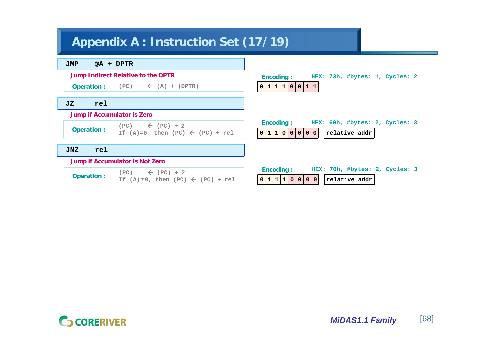# **Appendix A : Instruction Set (17/19)**



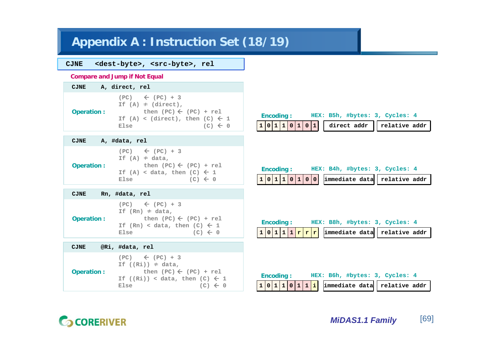## **Appendix A : Instruction Set (18/19)**

## **CJNE <dest-byte>, <src-byte>, rel**

#### **Compare and Jump if Not Equal**

| $(PC) \leftarrow (PC) + 3$<br>If $(A) \neq (direct)$ ,<br>then $(PC) \leftarrow (PC) + rel$<br><b>Operation:</b><br>If (A) < (direct), then (C) $\leftarrow$ 1<br>$(C) \leftarrow 0$<br>Else | <b>CJNE</b> | A, direct, rel |
|----------------------------------------------------------------------------------------------------------------------------------------------------------------------------------------------|-------------|----------------|
|                                                                                                                                                                                              |             |                |

|                   |      | $(PC) \leftarrow (PC) + 3$<br>If $(A) \neq data$ , |
|-------------------|------|----------------------------------------------------|
| <b>Operation:</b> |      | then $(PC) \leftarrow (PC) + rel$                  |
|                   |      | If (A) < data, then (C) $\leftarrow$ 1             |
|                   | Else | $(C) \leftarrow 0$                                 |

#### **CJNE Rn, #data, rel**

**CJNE A, #data, rel**

|                   | $(PC)$ $\leftarrow$ $(PC) + 3$<br>If $(Rn) \neq data$ , |                    |
|-------------------|---------------------------------------------------------|--------------------|
| <b>Operation:</b> | then $(PC) \leftarrow (PC) + rel$                       |                    |
|                   | If $(Rn) <$ data, then $(C) \leftarrow 1$               |                    |
|                   | Else                                                    | $(C) \leftarrow 0$ |

| CJNE | @Ri, #data, rel |  |
|------|-----------------|--|
|      |                 |  |

|                   | $(PC) \leftarrow (PC) + 3$<br>If $((Ri))^{\#}$ data, |
|-------------------|------------------------------------------------------|
| <b>Operation:</b> | then $(PC) \leftarrow (PC) + rel$                    |
|                   | If $((Ri)) < data$ , then $(C) \leftarrow 1$         |
|                   | $(C) \leftarrow 0$<br>Else                           |



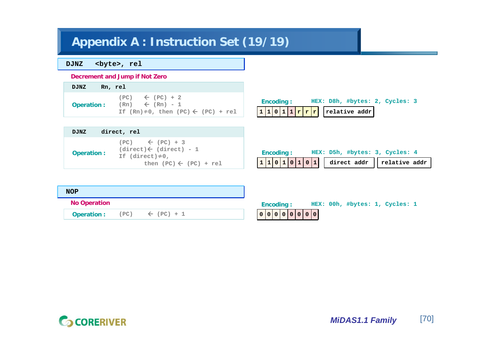# **Appendix A : Instruction Set (19/19)**

## **DJNZ <byte>, rel**

**Decrement and Jump if Not Zero**

| Rn, rel<br><b>DJNZ</b> |                                                                                                                      |
|------------------------|----------------------------------------------------------------------------------------------------------------------|
| <b>Operation:</b>      | $(PC)$ $\leftarrow$ $(PC) + 2$<br>$(Rn) \leftarrow (Rn) - 1$<br>If $(Rn) \neq 0$ , then $(PC) \leftarrow (PC) + rel$ |

|  | <b>Encoding:</b> |  |  |                                  |  | HEX: D8h, #bytes: 2, Cycles: 3 |  |
|--|------------------|--|--|----------------------------------|--|--------------------------------|--|
|  |                  |  |  | $1 1 0 1 1 r r r $ relative addr |  |                                |  |

| <b>DJNZ</b> | direct, rel                                                                                                                         |
|-------------|-------------------------------------------------------------------------------------------------------------------------------------|
| Operation : | $(PC)$ $\leftarrow$ $(PC) + 3$<br>$(direct) \leftarrow (direct) - 1$<br>If $(direct) \neq 0$ ,<br>then $(PC) \leftarrow (PC) + rel$ |

|  | <b>Encoding:</b> |  |  |  |  | HEX: D5h, #bytes: 3, Cycles: 4                                      |  |
|--|------------------|--|--|--|--|---------------------------------------------------------------------|--|
|  |                  |  |  |  |  | $\boxed{1\,1\,0\,1\,0\,1\,0\,1\,0\,1}$ direct addr    relative addr |  |

| <b>NOP</b> |                     |      |                       |               |  |  |                                |  |
|------------|---------------------|------|-----------------------|---------------|--|--|--------------------------------|--|
|            | <b>No Operation</b> |      |                       | Encoding:     |  |  | HEX: 00h, #bytes: 1, Cycles: 1 |  |
|            | <b>Operation:</b>   | (PC) | $\leftarrow$ (PC) + 1 | 0 0 0 0 0 0 0 |  |  |                                |  |

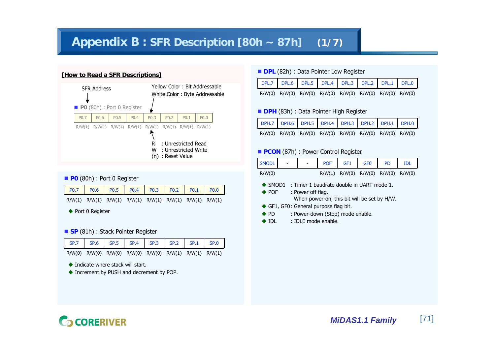## **Appendix B : SFR Description [80h ~ 87h] (1/7)**

### **[How to Read a SFR Descriptions]**



#### **P0** (80h) : Port 0 Register

| R/W(1) R/W(1) R/W(1) R/W(1) R/W(1) R/W(1) R/W(1) R/W(1) |  |  |  |  |
|---------------------------------------------------------|--|--|--|--|

◆ Port 0 Register

#### ■ **SP** (81h) : Stack Pointer Register



- R/W(0) R/W(0) R/W(0) R/W(0) R/W(0) R/W(1) R/W(1) R/W(1)
- ◆ Indicate where stack will start.
- ◆ Increment by PUSH and decrement by POP.

#### **DPL** (82h) : Data Pointer Low Register

| DPL.7 DPL.6 DPL.5 DPL.4 DPL.3 DPL.2 DPL.1 DPL.0 |                                                         |  |  |  |
|-------------------------------------------------|---------------------------------------------------------|--|--|--|
|                                                 | R/W(0) R/W(0) R/W(0) R/W(0) R/W(0) R/W(0) R/W(0) R/W(0) |  |  |  |

#### **DPH** (83h) : Data Pointer High Register

| DPH.7 DPH.6 DPH.5 DPH.4 DPH.3 DPH.2 DPH.1 DPH.0         |  |  |  |  |
|---------------------------------------------------------|--|--|--|--|
| R/W(0) R/W(0) R/W(0) R/W(0) R/W(0) R/W(0) R/W(0) R/W(0) |  |  |  |  |

#### **PCON** (87h) : Power Control Register

| SMOD1                                          |                                       | <b>POF</b> | GF <sub>1</sub>                                                                          | GF <sub>0</sub>            | <b>PD</b> | <b>IDL</b> |
|------------------------------------------------|---------------------------------------|------------|------------------------------------------------------------------------------------------|----------------------------|-----------|------------|
| R/W(0)                                         |                                       | R/W(1)     |                                                                                          | $R/W(0)$ $R/W(0)$ $R/W(0)$ |           | R/W(0)     |
| $\blacktriangleright$ SMOD1<br>$\triangle$ POF | : Power off flag.                     |            | : Timer 1 baudrate double in UART mode 1.<br>When power-on, this bit will be set by H/W. |                            |           |            |
|                                                | ◆ GF1, GF0: General purpose flag bit. |            |                                                                                          |                            |           |            |
| $\bullet$ PD                                   |                                       |            | : Power-down (Stop) mode enable.                                                         |                            |           |            |
| $\blacklozenge$ IDL                            | : IDLE mode enable.                   |            |                                                                                          |                            |           |            |
|                                                |                                       |            |                                                                                          |                            |           |            |

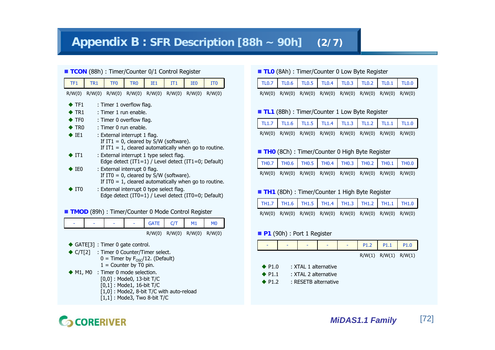## **Appendix B : SFR Description [88h ~ 90h] (2/7)**

| <b>TCON</b> (88h): Timer/Counter 0/1 Control Register                               |                                                                                                                                                                                         |                                                                               |                 |                                                                                                     |                 |                 |                                                       |  |  |  |  |  |
|-------------------------------------------------------------------------------------|-----------------------------------------------------------------------------------------------------------------------------------------------------------------------------------------|-------------------------------------------------------------------------------|-----------------|-----------------------------------------------------------------------------------------------------|-----------------|-----------------|-------------------------------------------------------|--|--|--|--|--|
| TF <sub>1</sub>                                                                     | TR <sub>1</sub>                                                                                                                                                                         | TF <sub>0</sub>                                                               | TR <sub>0</sub> | IE1                                                                                                 | IT <sub>1</sub> | IE <sub>0</sub> | IT <sub>0</sub>                                       |  |  |  |  |  |
| R/W(0)                                                                              |                                                                                                                                                                                         |                                                                               |                 | R/W(0) R/W(0) R/W(0) R/W(0) R/W(0) R/W(0)                                                           |                 |                 | R/W(0)                                                |  |  |  |  |  |
| $\blacktriangleright$ TF1<br>$\blacktriangleright$ TR1<br>$\blacktriangleright$ TF0 |                                                                                                                                                                                         | : Timer 1 overflow flag.<br>: Timer 1 run enable.<br>: Timer 0 overflow flag. |                 |                                                                                                     |                 |                 |                                                       |  |  |  |  |  |
| $\bullet$ IE1                                                                       | $\blacktriangleright$ TRO<br>: Timer 0 run enable.<br>: External interrupt 1 flag.<br>If IT1 = 0, cleared by $S/W$ (software).<br>If IT1 = 1, cleared automatically when go to routine. |                                                                               |                 |                                                                                                     |                 |                 |                                                       |  |  |  |  |  |
| $\blacktriangleright$ IT1                                                           |                                                                                                                                                                                         |                                                                               |                 | : External interrupt 1 type select flag.<br>Edge detect $(IT1=1)$ / Level detect $(IT1=0;$ Default) |                 |                 |                                                       |  |  |  |  |  |
| $\blacktriangleright$ IEO                                                           |                                                                                                                                                                                         | : External interrupt 0 flag.                                                  |                 | If ITO = 0, cleared by $S/W$ (software).                                                            |                 |                 | If ITO = 1, cleared automatically when go to routine. |  |  |  |  |  |
| ITO                                                                                 |                                                                                                                                                                                         |                                                                               |                 | : External interrupt 0 type select flag.<br>Edge detect (IT0=1) / Level detect (IT0=0; Default)     |                 |                 |                                                       |  |  |  |  |  |

**TMOD** (89h) : Timer/Counter 0 Mode Control Register

| - | - | - | <b>GATE</b> | CT     |        | M <sub>0</sub> |
|---|---|---|-------------|--------|--------|----------------|
|   |   |   | R/W(0)      | R/W(0) | R/W(0) | R/W(0)         |

◆ GATE[3] : Timer 0 gate control.

- ◆ C/T[2] : Timer 0 Counter/Timer select.  $0 =$  Timer by  $F_{OSC}/12$ . (Default)  $1 =$  Counter by  $\tilde{T}0$  pin.
- ◆ M1, M0 : Timer 0 mode selection. [0,0] : Mode0, 13-bit T/C [0,1] : Mode1, 16-bit T/C [1,0] : Mode2, 8-bit T/C with auto-reload [1,1] : Mode3, Two 8-bit T/C

### ■ **TLO** (8Ah) : Timer/Counter 0 Low Byte Register

|  |  |  | R/W(0) R/W(0) R/W(0) R/W(0) R/W(0) R/W(0) R/W(0) R/W(0) |  |
|--|--|--|---------------------------------------------------------|--|

#### ■ TL1 (8Bh) : Timer/Counter 1 Low Byte Register

|                                                         |  |  | TL1.7   TL1.6   TL1.5   TL1.4   TL1.3   TL1.2   TL1.1   TL1.0 |  |
|---------------------------------------------------------|--|--|---------------------------------------------------------------|--|
| R/W(0) R/W(0) R/W(0) R/W(0) R/W(0) R/W(0) R/W(0) R/W(0) |  |  |                                                               |  |

#### **THO** (8Ch): Timer/Counter 0 High Byte Register

| TH0.7 TH0.6 TH0.5 TH0.4 TH0.3 TH0.2 TH0.1 TH0.0         |  |  |  |  |
|---------------------------------------------------------|--|--|--|--|
| R/W(0) R/W(0) R/W(0) R/W(0) R/W(0) R/W(0) R/W(0) R/W(0) |  |  |  |  |

#### ■ TH1 (8Dh) : Timer/Counter 1 High Byte Register

| TH1.7 TH1.6 TH1.5 TH1.4 TH1.3 TH1.2 TH1.1 TH1.0         |  |  |  |
|---------------------------------------------------------|--|--|--|
| R/W(0) R/W(0) R/W(0) R/W(0) R/W(0) R/W(0) R/W(0) R/W(0) |  |  |  |

#### **P1** (90h) : Port 1 Register



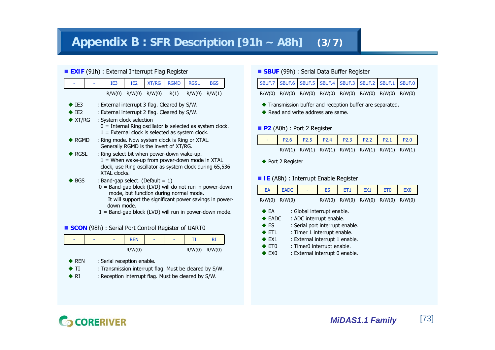## **Appendix B : SFR Description [91h ~ A8h] (3/7)**

#### **EXIF** (91h) : External Interrupt Flag Register

|                             | IE3                                                   | IE <sub>2</sub>            | <b>XT/RG</b>                                                                                                                                                                                         | <b>RGMD</b> | <b>RGSL</b> | <b>BGS</b> |
|-----------------------------|-------------------------------------------------------|----------------------------|------------------------------------------------------------------------------------------------------------------------------------------------------------------------------------------------------|-------------|-------------|------------|
|                             |                                                       | $R/W(0)$ $R/W(0)$ $R/W(0)$ |                                                                                                                                                                                                      | R(1)        | R/W(0)      | R/W(1)     |
| $\blacktriangleright$ IE3   |                                                       |                            | : External interrupt 3 flag. Cleared by S/W.                                                                                                                                                         |             |             |            |
| $\bullet$ IE2               |                                                       |                            | : External interrupt 2 flag. Cleared by S/W.                                                                                                                                                         |             |             |            |
| $\blacktriangleright$ XT/RG | : System clock selection                              |                            | $0 =$ Internal Ring oscillator is selected as system clock.<br>$1 =$ External clock is selected as system clock.                                                                                     |             |             |            |
| $\blacktriangleright$ RGMD  |                                                       |                            | : Ring mode. Now system clock is Ring or XTAL.<br>Generally RGMD is the invert of XT/RG.                                                                                                             |             |             |            |
| <b>RGSL</b>                 | XTAI clocks.                                          |                            | : Ring select bit when power-down wake-up.<br>1 = When wake-up from power-down mode in XTAL<br>clock, use Ring oscillator as system clock during 65,536                                              |             |             |            |
| <b>BGS</b>                  | down mode.                                            |                            | : Band-gap select. (Default $= 1$ )<br>$0 =$ Band-gap block (LVD) will do not run in power-down<br>mode, but function during normal mode.<br>It will support the significant power savings in power- |             |             |            |
|                             | 1 = Band-gap block (LVD) will run in power-down mode. |                            |                                                                                                                                                                                                      |             |             |            |

#### **SCON** (98h) : Serial Port Control Register of UART0

| ٠ | ۰ | ۰ | <b>REN</b> | ٠ | ٠ |        | RI     |
|---|---|---|------------|---|---|--------|--------|
|   |   |   | R/W(0)     |   |   | R/W(0) | R/W(0) |

- $\triangle$  REN : Serial reception enable.
- $+TI$ : Transmission interrupt flag. Must be cleared by S/W.
- $\triangle$  RT : Reception interrupt flag. Must be cleared by S/W.

#### **SBUF** (99h) : Serial Data Buffer Register

|                                                         |  |  |  | SBUF.7 SBUF.6 SBUF.5 SBUF.4 SBUF.3 SBUF.2 SBUF.1 SBUF.0 |
|---------------------------------------------------------|--|--|--|---------------------------------------------------------|
| R/W(0) R/W(0) R/W(0) R/W(0) R/W(0) R/W(0) R/W(0) R/W(0) |  |  |  |                                                         |

- Transmission buffer and reception buffer are separated.
- Read and write address are same.

#### **P2** (A0h) : Port 2 Register



◆ Port 2 Register

#### **IE** (A8h) : Interrupt Enable Register

|                   | EA EADC - |  |  |                                    | ES ET1 EX1 ET0 EX0 |
|-------------------|-----------|--|--|------------------------------------|--------------------|
| $R/W(0)$ $R/W(0)$ |           |  |  | R/W(0) R/W(0) R/W(0) R/W(0) R/W(0) |                    |

- $\triangle$ FA : Global interrupt enable.
- $\triangle$  EADC : ADC interrupt enable.
- $\triangle$  ES : Serial port interrupt enable.
- $\triangle$  ET1 : Timer 1 interrupt enable.
- $\triangle$  FX1 : External interrupt 1 enable.
- $\triangle$  ET0 : Timer0 interrupt enable.
- $\triangle$  EX<sub>0</sub> : External interrupt 0 enable.

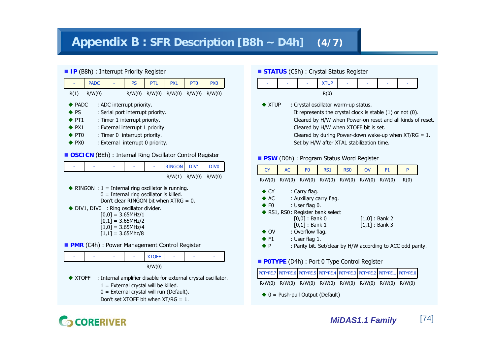## **Appendix B : SFR Description [B8h ~ D4h] (4/7)**

#### **IP** (B8h) : Interrupt Priority Register

|                                                       | <b>PADC</b>                                                                                                                                                                                                                                                                                                                                          |  | <b>PS</b>                                                                                                                             | PT <sub>1</sub>                           | PX1                                                                                             | PT <sub>0</sub> | PX <sub>0</sub> |  |  |  |
|-------------------------------------------------------|------------------------------------------------------------------------------------------------------------------------------------------------------------------------------------------------------------------------------------------------------------------------------------------------------------------------------------------------------|--|---------------------------------------------------------------------------------------------------------------------------------------|-------------------------------------------|-------------------------------------------------------------------------------------------------|-----------------|-----------------|--|--|--|
| R(1)                                                  | R/W(0)                                                                                                                                                                                                                                                                                                                                               |  |                                                                                                                                       | $R/W(0)$ $R/W(0)$                         | R/W(0)                                                                                          | R/W(0)          | R/W(0)          |  |  |  |
| <b>PS</b><br>$\cdot$ PT1<br>$\blacktriangleright$ PX1 | <b>PADC</b><br>: ADC interrupt priority.<br>: Serial port interrupt priority.<br>: Timer 1 interrupt priority.<br>: External interrupt 1 priority.<br>$\blacktriangleright$ PT0<br>: Timer 0 interrupt priority.<br>$\blacktriangleright$ PX0<br>: External interrupt 0 priority.<br><b>OSCICN</b> (BEh) : Internal Ring Oscillator Control Register |  |                                                                                                                                       |                                           |                                                                                                 |                 |                 |  |  |  |
|                                                       | <b>RINGON</b><br>DIV <sub>0</sub><br>DIV1                                                                                                                                                                                                                                                                                                            |  |                                                                                                                                       |                                           |                                                                                                 |                 |                 |  |  |  |
| $R/W(1)$ $R/W(0)$<br>R/W(0)                           |                                                                                                                                                                                                                                                                                                                                                      |  |                                                                                                                                       |                                           |                                                                                                 |                 |                 |  |  |  |
|                                                       |                                                                                                                                                                                                                                                                                                                                                      |  | DIV1, DIV0 : Ring oscillator divider.<br>$[0,0] = 3.65$ MHz/1<br>$[0,1] = 3.65$ MHz/2<br>$[1,0] = 3.65$ MHz/4<br>$[1,1] = 3.65$ Mhz/8 | $0 =$ Internal ring oscillator is killed. | RINGON : $1 =$ Internal ring oscillator is running.<br>Don't clear RINGON bit when $XTRG = 0$ . |                 |                 |  |  |  |
|                                                       |                                                                                                                                                                                                                                                                                                                                                      |  |                                                                                                                                       |                                           | <b>PMR</b> (C4h) : Power Management Control Register                                            |                 |                 |  |  |  |
|                                                       |                                                                                                                                                                                                                                                                                                                                                      |  |                                                                                                                                       | <b>XTOFF</b>                              |                                                                                                 |                 |                 |  |  |  |

R/W(0)

- ◆ XTOFF : Internal amplifier disable for external crystal oscillator.
	- $1 =$  External crystal will be killed.
	- 0 = External crystal will run (Default).

Don't set XTOFF bit when  $XT/RG = 1$ .

#### **STATUS** (C5h) : Crystal Status Register



 $\triangle$  XTUP : Crystal oscillator warm-up status. It represents the crystal clock is stable (1) or not (0). Cleared by H/W when Power-on reset and all kinds of reset. Cleared by H/W when XTOFF bit is set. Cleared by during Power-down wake-up when  $XT/RG = 1$ . Set by H/W after XTAL stabilization time.

#### **PSW** (D0h) : Program Status Word Register

| <b>CY</b>                                                                                                                                | <b>AC</b>                        | F <sub>0</sub>                       | RS <sub>1</sub>         | R <sub>S0</sub> | <b>OV</b>                            | F <sub>1</sub> | P    |
|------------------------------------------------------------------------------------------------------------------------------------------|----------------------------------|--------------------------------------|-------------------------|-----------------|--------------------------------------|----------------|------|
| R/W(0)                                                                                                                                   | R/W(0)                           |                                      | $R/W(0)$ $R/W(0)$       |                 | $R/W(0)$ $R/W(0)$                    | R/W(0)         | R(0) |
| $\bullet$ CY<br>$\triangle$ AC                                                                                                           |                                  | : Carry flag.                        |                         |                 |                                      |                |      |
| $\triangle$ F <sub>0</sub>                                                                                                               |                                  | : User flag 0.                       | : Auxiliary carry flag. |                 |                                      |                |      |
|                                                                                                                                          | ◆ RS1, RS0: Register bank select | $[0,0]$ : Bank 0<br>$[0,1]$ : Bank 1 |                         |                 | $[1,0]$ : Bank 2<br>$[1,1]$ : Bank 3 |                |      |
| : Overflow flag.<br>$\bullet$ OV<br>$\bullet$ F1<br>: User flag 1.<br>: Parity bit. Set/clear by H/W according to ACC odd parity.<br>♦ P |                                  |                                      |                         |                 |                                      |                |      |

#### **POTYPE** (D4h) : Port 0 Type Control Register

| POTYPE.7 POTYPE.6 POTYPE.5 POTYPE.4 POTYPE.3 POTYPE.2 POTYPE.1 POTYPE.0 |  |                                                                         |  |  |
|-------------------------------------------------------------------------|--|-------------------------------------------------------------------------|--|--|
|                                                                         |  | $R/W(0)$ $R/W(0)$ $R/W(0)$ $R/W(0)$ $R/W(0)$ $R/W(0)$ $R/W(0)$ $R/W(0)$ |  |  |
|                                                                         |  | $\bullet$ 0 = Push-pull Output (Default)                                |  |  |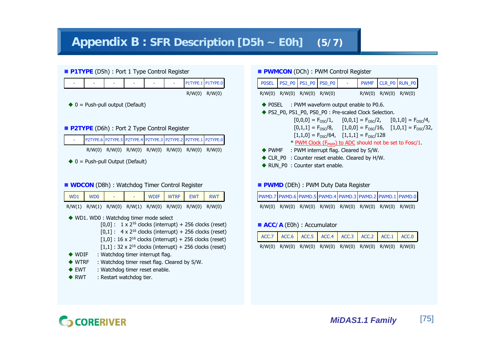## **Appendix B : SFR Description [D5h ~ E0h] (5/7)**



#### **P2TYPE** (D6h) : Port 2 Type Control Register

- P2TYPE.6 P2TYPE.5 P2TYPE.4 P2TYPE.3 P2TYPE.2 P2TYPE.1 P2TYPE.0
	- R/W(0) R/W(0) R/W(0) R/W(0) R/W(0) R/W(0) R/W(0)
- $\blacklozenge$  0 = Push-pull Output (Default)

#### **WDCON** (D8h) : Watchdog Timer Control Register

| WD1 WD0                                                 |  |  | WDIF WTRF EWT RWT |  |
|---------------------------------------------------------|--|--|-------------------|--|
| R/W(1) R/W(1) R/W(0) R/W(1) R/W(0) R/W(0) R/W(0) R/W(0) |  |  |                   |  |

- ◆ WD1. WD0: Watchdog timer mode select
	- $[0.0]$ :  $1 \times 2^{16}$  clocks (interrupt) + 256 clocks (reset)  $[0,1]$  : 4 x 2<sup>16</sup> clocks (interrupt) + 256 clocks (reset)  $[1,0]$  : 16 x 2<sup>16</sup> clocks (interrupt) + 256 clocks (reset)  $[1,1]$  : 32 x 2<sup>16</sup> clocks (interrupt) + 256 clocks (reset)
- $\blacklozenge$  WDIF : Watchdog timer interrupt flag.
- $\blacklozenge$  WTRF : Watchdog timer reset flag. Cleared by S/W.
- $\triangle$  EWT : Watchdog timer reset enable.
- $\triangle$  RWT : Restart watchdog tier.

|              |                             | <b>PWMCON</b> (DCh): PWM Control Register                                                    |            |                            |                    |  |
|--------------|-----------------------------|----------------------------------------------------------------------------------------------|------------|----------------------------|--------------------|--|
| <b>POSEL</b> |                             | PS2_P0 PS1_P0 PS0_P0                                                                         | $\sim 100$ |                            | PWMF CLR_PO RUN_PO |  |
|              | R/W(0) R/W(0) R/W(0) R/W(0) |                                                                                              |            | $R/W(0)$ $R/W(0)$ $R/W(0)$ |                    |  |
|              |                             | $\blacklozenge$ POSEL : PWM waveform output enable to P0.6.                                  |            |                            |                    |  |
|              |                             | ◆ PS2_P0, PS1_P0, PS0_P0: Pre-scaled Clock Selection.                                        |            |                            |                    |  |
|              |                             | $[0,0,0] = F_{\text{osc}}/1$ , $[0,0,1] = F_{\text{osc}}/2$ , $[0,1,0] = F_{\text{osc}}/4$ , |            |                            |                    |  |
|              |                             | $[0,1,1] = F_{OSC}/8$ , $[1,0,0] = F_{OSC}/16$ , $[1,0,1] = F_{OSC}/32$ ,                    |            |                            |                    |  |
|              |                             | $[1,1,0] = F_{OSC}/64$ , $[1,1,1] = F_{OSC}/128$                                             |            |                            |                    |  |
|              |                             |                                                                                              |            |                            |                    |  |

- $*$  PWM Clock (F<sub>PWM</sub>) to ADC should not be set to Fosc/1.
- ◆ PWMF : PWM interrupt flag. Cleared by S/W.
- ◆ CLR\_P0 : Counter reset enable. Cleared by H/W.
- ◆ RUN\_P0 : Counter start enable.

#### **PWMD** (DEh) : PWM Duty Data Register

|  |  | PWMD.7 PWMD.6 PWMD.5 PWMD.4 PWMD.3 PWMD.2 PWMD.1 PWMD.0 |  |  |
|--|--|---------------------------------------------------------|--|--|
|  |  | R/W(0) R/W(0) R/W(0) R/W(0) R/W(0) R/W(0) R/W(0) R/W(0) |  |  |

#### **ACC/A** (E0h) : Accumulator

| ACC.7   ACC.6   ACC.5   ACC.4   ACC.3   ACC.2   ACC.1   ACC.0 |  |  |  |  |
|---------------------------------------------------------------|--|--|--|--|
| R/W(0) R/W(0) R/W(0) R/W(0) R/W(0) R/W(0) R/W(0) R/W(0)       |  |  |  |  |

# **CORERIVER**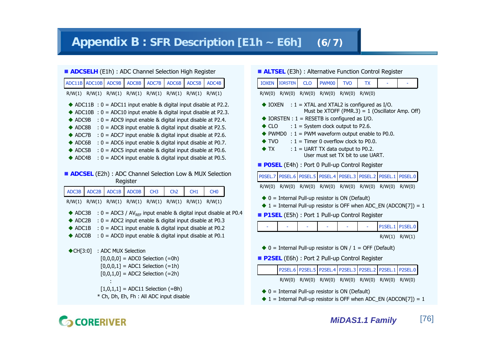## **Appendix B : SFR Description [E1h ~ E6h] (6/7)**

|              |                   |       |                     | <b>ADCSELH</b> (E1h) : ADC Channel Selection High Register               |                 |                 |                                                                                                                                          |  |
|--------------|-------------------|-------|---------------------|--------------------------------------------------------------------------|-----------------|-----------------|------------------------------------------------------------------------------------------------------------------------------------------|--|
|              | ADC11B ADC10B     | ADC9B | ADC8B               | ADC7B                                                                    | ADC6B           | ADC5B           | ADC4B                                                                                                                                    |  |
|              | $R/W(1)$ $R/W(1)$ |       |                     | $R/W(1)$ $R/W(1)$ $R/W(1)$ $R/W(1)$                                      |                 | R/W(1)          | R/W(1)                                                                                                                                   |  |
|              |                   |       |                     |                                                                          |                 |                 | ADC11B : $0 =$ ADC11 input enable & digital input disable at P2.2.<br>ADC10B : $0 = ADC10$ input enable & digital input disable at P2.3. |  |
| ADC9B        |                   |       |                     |                                                                          |                 |                 | $: 0 = ADC9$ input enable & digital input disable at P2.4.                                                                               |  |
|              | ADC8B             |       |                     |                                                                          |                 |                 | $: 0 = ADC8$ input enable & digital input disable at P2.5.                                                                               |  |
| ADC7B        |                   |       |                     |                                                                          |                 |                 | $: 0 = ADC7$ input enable & digital input disable at P2.6.                                                                               |  |
| ADC6B        | ADC5B             |       |                     |                                                                          |                 |                 | $: 0 = ADC6$ input enable & digital input disable at P0.7.<br>$: 0 = ADC5$ input enable & digital input disable at P0.6.                 |  |
| ADC4B        |                   |       |                     |                                                                          |                 |                 | : 0 = ADC4 input enable & digital input disable at P0.5.                                                                                 |  |
|              |                   |       |                     |                                                                          |                 |                 |                                                                                                                                          |  |
|              |                   |       | Register            |                                                                          |                 |                 | <b>ADCSEL</b> (E2h) : ADC Channel Selection Low & MUX Selection                                                                          |  |
| ADC3B        |                   |       |                     |                                                                          |                 |                 |                                                                                                                                          |  |
|              | ADC2B             | ADC1B | <b>ADC0B</b>        | CH <sub>3</sub>                                                          | Ch <sub>2</sub> | CH <sub>1</sub> | CH <sub>0</sub>                                                                                                                          |  |
| R/W(1)       | R/W(1)            |       |                     | $R/W(1)$ $R/W(1)$ $R/W(1)$ $R/W(1)$                                      |                 | R/W(1)          | R/W(1)                                                                                                                                   |  |
| ADC3B        |                   |       |                     |                                                                          |                 |                 | : $0 = ADC3 / AV_{REF}$ input enable & digital input disable at P0.4                                                                     |  |
| ADC2B        |                   |       |                     |                                                                          |                 |                 | : $0 = ADC2$ input enable & digital input disable at P0.3                                                                                |  |
| ADC1B        |                   |       |                     |                                                                          |                 |                 | $: 0 = ADC1$ input enable & digital input disable at P0.2                                                                                |  |
| <b>ADC0B</b> |                   |       |                     |                                                                          |                 |                 | $: 0 = ADC0$ input enable & digital input disable at P0.1                                                                                |  |
| CH[3:0]      |                   |       | : ADC MUX Selection |                                                                          |                 |                 |                                                                                                                                          |  |
|              |                   |       |                     | $[0,0,0,0] = ADC0$ Selection (=0h)                                       |                 |                 |                                                                                                                                          |  |
|              |                   |       |                     | $[0,0,0,1] = ADC1 Selection (=1h)$<br>$[0,0,1,0] = ADC2 Selection (=2h)$ |                 |                 |                                                                                                                                          |  |

 $[1,0,1,1] =$  ADC11 Selection (=Bh)

\* Ch, Dh, Eh, Fh : All ADC input disable

|  |  | <b>ALTSEL</b> (E3h) : Alternative Function Control Register |
|--|--|-------------------------------------------------------------|
|--|--|-------------------------------------------------------------|

|                                                                                                                            |                                                   | $\sim$ (2011) Theorem and the control of the set of $\sim$ |              |                                                   |           |         |                |  |  |  |
|----------------------------------------------------------------------------------------------------------------------------|---------------------------------------------------|------------------------------------------------------------|--------------|---------------------------------------------------|-----------|---------|----------------|--|--|--|
| <b>IOXEN</b>                                                                                                               | <b>IORSTEN</b>                                    | <b>CLO</b>                                                 | <b>PWM00</b> | <b>TVO</b>                                        | <b>TX</b> |         |                |  |  |  |
| R/W(0) R/W(0) R/W(0) R/W(0) R/W(0)<br>R/W(0)                                                                               |                                                   |                                                            |              |                                                   |           |         |                |  |  |  |
| <b>IOXEN</b>                                                                                                               |                                                   | : $1 = XTAL$ and XTAL2 is configured as I/O.               |              | Must be XTOFF (PMR.3) = $1$ (Oscillator Amp. Off) |           |         |                |  |  |  |
|                                                                                                                            | IORSTEN : $1 = RESETB$ is configured as I/O.      |                                                            |              |                                                   |           |         |                |  |  |  |
| $\bullet$ CLO                                                                                                              | PWMD0 : $1 =$ PWM waveform output enable to P0.0. | $: 1 =$ System clock output to P2.6.                       |              |                                                   |           |         |                |  |  |  |
| TVO                                                                                                                        |                                                   | $: 1 =$ Timer 0 overflow clock to P0.0.                    |              |                                                   |           |         |                |  |  |  |
| $\blacktriangleright$ TX $\blacktriangleright$<br>$: 1 = UARTTX$ data output to P0.2.<br>User must set TX bit to use UART. |                                                   |                                                            |              |                                                   |           |         |                |  |  |  |
| <b>POSEL</b> (E4h) : Port 0 Pull-up Control Register                                                                       |                                                   |                                                            |              |                                                   |           |         |                |  |  |  |
| POSEL.6   POSEL.5   POSEL.4   POSEL.3   POSEL.2   POSEL.1   POSEL.0<br>P0SEL.7                                             |                                                   |                                                            |              |                                                   |           |         |                |  |  |  |
| R/W(0)                                                                                                                     |                                                   | R/W(0) R/W(0) R/W(0) R/W(0) R/W(0) R/W(0)                  |              |                                                   |           |         | R/W(0)         |  |  |  |
| $\blacklozenge$ 0 = Internal Pull-up resistor is ON (Default)                                                              |                                                   |                                                            |              |                                                   |           |         |                |  |  |  |
| $\blacklozenge$ 1 = Internal Pull-up resistor is OFF when ADC_EN (ADCON[7]) = 1                                            |                                                   |                                                            |              |                                                   |           |         |                |  |  |  |
| P1SEL (E5h): Port 1 Pull-up Control Register                                                                               |                                                   |                                                            |              |                                                   |           |         |                |  |  |  |
|                                                                                                                            |                                                   |                                                            |              |                                                   |           | P1SEL.1 | <b>P1SEL.0</b> |  |  |  |
|                                                                                                                            |                                                   |                                                            |              |                                                   |           | R/W(1)  | R/W(1)         |  |  |  |
| $\blacklozenge$ 0 = Internal Pull-up resistor is ON / 1 = OFF (Default)                                                    |                                                   |                                                            |              |                                                   |           |         |                |  |  |  |
|                                                                                                                            |                                                   |                                                            |              |                                                   |           |         |                |  |  |  |
|                                                                                                                            | P2SEL (E6h) : Port 2 Pull-up Control Register     |                                                            |              |                                                   |           |         |                |  |  |  |
|                                                                                                                            |                                                   | P2SEL.6   P2SEL.5   P2SEL.4   P2SEL.3   P2SEL.2   P2SEL.1  |              |                                                   |           |         | <b>P2SEL.0</b> |  |  |  |
|                                                                                                                            | R/W(0)                                            | R/W(0)                                                     | R/W(0)       | R/W(0)                                            | R/W(0)    | R/W(0)  | R/W(0)         |  |  |  |

- $\blacklozenge$  0 = Internal Pull-up resistor is ON (Default)
- $\blacklozenge$  1 = Internal Pull-up resistor is OFF when ADC\_EN (ADCON[7]) = 1

# **GCORERIVER**

: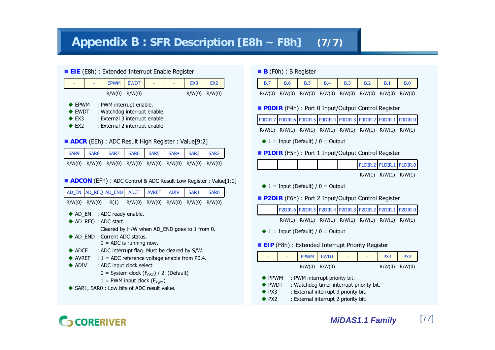## **Appendix B : SFR Description [E8h ~ F8h] (7/7)**

#### ■ **EIE** (E8h) : Extended Interrupt Enable Register

| ۰                | <b>EPWM</b>                    | <b>EWDT</b> |  | EX <sub>3</sub> | EX <sub>2</sub> |
|------------------|--------------------------------|-------------|--|-----------------|-----------------|
|                  | R/W(0)                         | R/W(0)      |  | R/W(0)          | R/W(0)          |
| $\triangle$ EPWM | : PWM interrupt enable.        |             |  |                 |                 |
| $\triangle$ EWDT | : Watchdog interrupt enable.   |             |  |                 |                 |
| $\triangle$ EX3  | : External 3 interrupt enable. |             |  |                 |                 |
| EX <sub>2</sub>  | : External 2 interrupt enable. |             |  |                 |                 |

#### **ADCR** (EEh) : ADC Result High Register : Value[9:2]

| SAR9 SAR8 SAR7 SAR6 SAR5 SAR4 SAR3 SAR2                 |  |  |  |  |
|---------------------------------------------------------|--|--|--|--|
| R/W(0) R/W(0) R/W(0) R/W(0) R/W(0) R/W(0) R/W(0) R/W(0) |  |  |  |  |

#### **ADCON** (EFh) : ADC Control & ADC Result Low Register : Value[1:0]

| AD_EN                                                                                              | AD REQ AD END                                |                                                                                                                  | <b>ADCF</b> | <b>AVREF</b>                                 | <b>ADIV</b>       | SAR1   | <b>SAR0</b> |  |  |  |
|----------------------------------------------------------------------------------------------------|----------------------------------------------|------------------------------------------------------------------------------------------------------------------|-------------|----------------------------------------------|-------------------|--------|-------------|--|--|--|
| R/W(0)                                                                                             | R/W(0)                                       | R(1)                                                                                                             | R/W(0)      |                                              | $R/W(0)$ $R/W(0)$ | R/W(0) | R/W(0)      |  |  |  |
|                                                                                                    |                                              | $\blacklozenge$ AD EN : ADC ready enable.<br>$\blacklozenge$ AD REQ : ADC start.<br>AD END : Current ADC status. |             | Cleared by H/W when AD END goes to 1 from 0. |                   |        |             |  |  |  |
| $0 = ADC$ is running now.<br>: ADC interrupt flag. Must be cleared by S/W.<br>$\blacklozenge$ adcf |                                              |                                                                                                                  |             |                                              |                   |        |             |  |  |  |
| $\blacktriangleright$ AVREF : 1 = ADC reference voltage enable from P0.4.                          |                                              |                                                                                                                  |             |                                              |                   |        |             |  |  |  |
| $\blacklozenge$ adiv<br>: ADC input clock select                                                   |                                              |                                                                                                                  |             |                                              |                   |        |             |  |  |  |
| $0 =$ System clock ( $F_{\text{OSC}}$ ) / 2. (Default)                                             |                                              |                                                                                                                  |             |                                              |                   |        |             |  |  |  |
| $1 =$ PWM input clock ( $F_{\text{PWM}}$ )                                                         |                                              |                                                                                                                  |             |                                              |                   |        |             |  |  |  |
|                                                                                                    | ◆ SAR1, SAR0 : Low bits of ADC result value. |                                                                                                                  |             |                                              |                   |        |             |  |  |  |

#### **B** (F0h) : B Register

|  |                                                         | B.6   B.5   B.4   B.3   B.2   B.1   B.0 |  |  |  |
|--|---------------------------------------------------------|-----------------------------------------|--|--|--|
|  | R/W(0) R/W(0) R/W(0) R/W(0) R/W(0) R/W(0) R/W(0) R/W(0) |                                         |  |  |  |

#### **P0DIR** (F4h) : Port 0 Input/Output Control Register

| PODIR.7 PODIR.6 PODIR.5 PODIR.4 PODIR.3 PODIR.2 PODIR.1 PODIR.0 |  |  |  |
|-----------------------------------------------------------------|--|--|--|
| R/W(1) R/W(1) R/W(1) R/W(1) R/W(1) R/W(1) R/W(1) R/W(1)         |  |  |  |

 $\blacklozenge$  1 = Input (Default) / 0 = Output

#### **P1DIR** (F5h) : Port 1 Input/Output Control Register

|  |  |  |  |  |  |  | $PIDIR.2$ $PIDIR.1$ $PIDIR.0$ |  |
|--|--|--|--|--|--|--|-------------------------------|--|
|--|--|--|--|--|--|--|-------------------------------|--|

R/W(1) R/W(1) R/W(1)

 $\blacklozenge$  1 = Input (Default) / 0 = Output

#### **P2DIR** (F6h) : Port 2 Input/Output Control Register

| P2DIR.6 P2DIR.5 P2DIR.4 P2DIR.3 P2DIR.2 P2DIR.1 P2DIR.0 |  |                                                                |  |  |
|---------------------------------------------------------|--|----------------------------------------------------------------|--|--|
|                                                         |  | $R/W(1)$ $R/W(1)$ $R/W(1)$ $R/W(1)$ $R/W(1)$ $R/W(1)$ $R/W(1)$ |  |  |

 $\blacklozenge$  1 = Input (Default) / 0 = Output

#### **EIP** (F8h) : Extended Interrupt Priority Register

| ٠ | $\overline{\phantom{a}}$ | PPWM   PWDT       | ۰ | ٠ | PX3               | PX <sub>2</sub> |
|---|--------------------------|-------------------|---|---|-------------------|-----------------|
|   |                          | $R/W(0)$ $R/W(0)$ |   |   | $R/W(0)$ $R/W(0)$ |                 |

- $\blacklozenge$  PPWM : PWM interrupt priority bit.
- $\blacklozenge$  PWDT : Watchdog timer interrupt priority bit.
- $\triangle$  PX3 : External interrupt 3 priority bit.
- $\blacklozenge$  PX2 : External interrupt 2 priority bit.

# **CORERIVER**